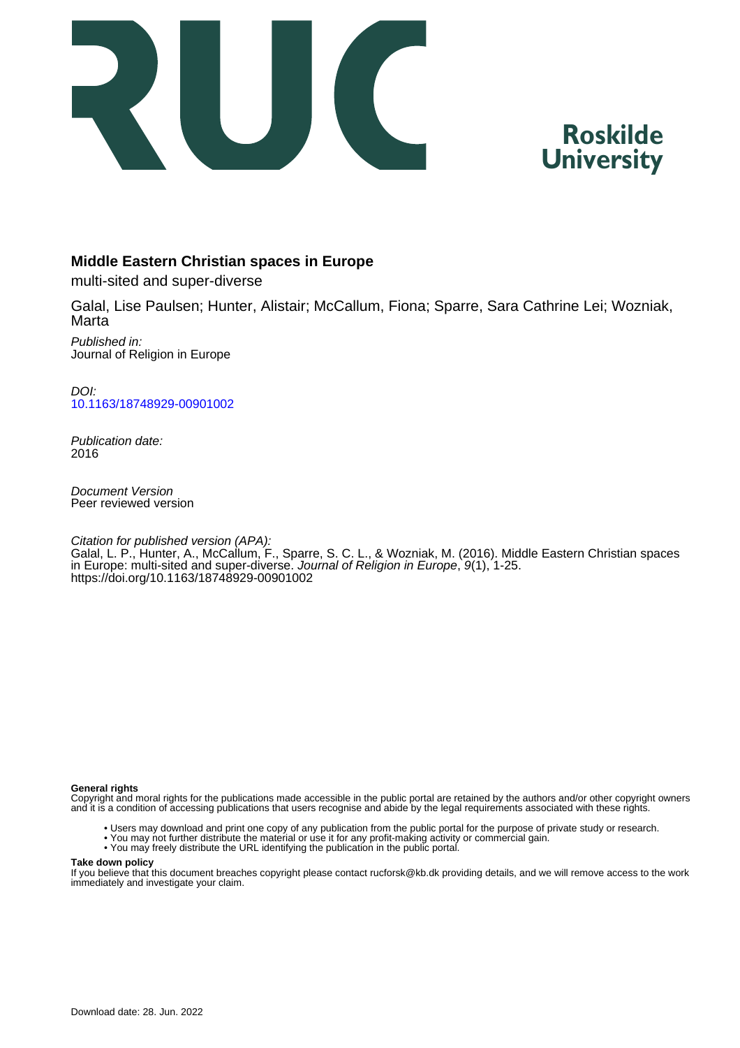



### **Middle Eastern Christian spaces in Europe**

multi-sited and super-diverse

Galal, Lise Paulsen; Hunter, Alistair; McCallum, Fiona; Sparre, Sara Cathrine Lei; Wozniak, Marta

Published in: Journal of Religion in Europe

DOI: [10.1163/18748929-00901002](https://doi.org/10.1163/18748929-00901002)

Publication date: 2016

Document Version Peer reviewed version

Citation for published version (APA):

Galal, L. P., Hunter, A., McCallum, F., Sparre, S. C. L., & Wozniak, M. (2016). Middle Eastern Christian spaces in Europe: multi-sited and super-diverse. Journal of Religion in Europe, 9(1), 1-25. <https://doi.org/10.1163/18748929-00901002>

#### **General rights**

Copyright and moral rights for the publications made accessible in the public portal are retained by the authors and/or other copyright owners and it is a condition of accessing publications that users recognise and abide by the legal requirements associated with these rights.

- Users may download and print one copy of any publication from the public portal for the purpose of private study or research.
- You may not further distribute the material or use it for any profit-making activity or commercial gain.
- You may freely distribute the URL identifying the publication in the public portal.

#### **Take down policy**

If you believe that this document breaches copyright please contact rucforsk@kb.dk providing details, and we will remove access to the work immediately and investigate your claim.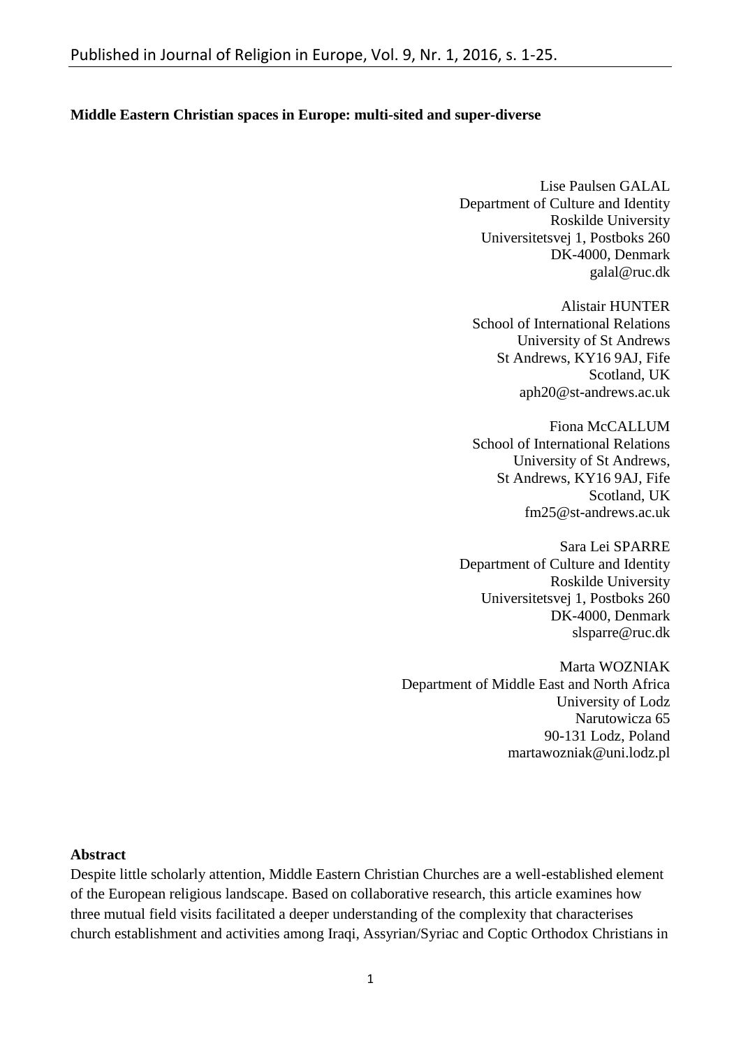# **Middle Eastern Christian spaces in Europe: multi-sited and super-diverse**

Lise Paulsen GALAL Department of Culture and Identity Roskilde University Universitetsvej 1, Postboks 260 DK-4000, Denmark galal@ruc.dk

Alistair HUNTER School of International Relations University of St Andrews St Andrews, KY16 9AJ, Fife Scotland, UK aph20@st-andrews.ac.uk

Fiona McCALLUM School of International Relations University of St Andrews, St Andrews, KY16 9AJ, Fife Scotland, UK fm25@st-andrews.ac.uk

Sara Lei SPARRE Department of Culture and Identity Roskilde University Universitetsvej 1, Postboks 260 DK-4000, Denmark slsparre@ruc.dk

Marta WOZNIAK Department of Middle East and North Africa University of Lodz Narutowicza 65 90-131 Lodz, Poland martawozniak@uni.lodz.pl

#### **Abstract**

Despite little scholarly attention, Middle Eastern Christian Churches are a well-established element of the European religious landscape. Based on collaborative research, this article examines how three mutual field visits facilitated a deeper understanding of the complexity that characterises church establishment and activities among Iraqi, Assyrian/Syriac and Coptic Orthodox Christians in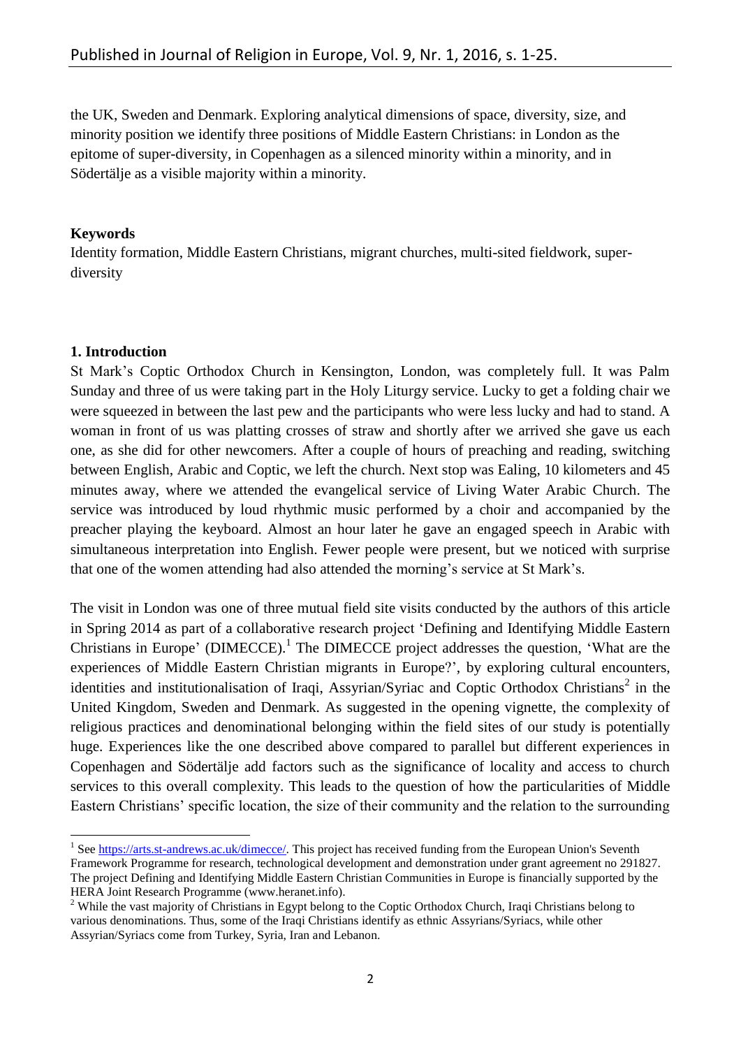the UK, Sweden and Denmark. Exploring analytical dimensions of space, diversity, size, and minority position we identify three positions of Middle Eastern Christians: in London as the epitome of super-diversity, in Copenhagen as a silenced minority within a minority, and in Södertälje as a visible majority within a minority.

## **Keywords**

Identity formation, Middle Eastern Christians, migrant churches, multi-sited fieldwork, superdiversity

## **1. Introduction**

**.** 

St Mark's Coptic Orthodox Church in Kensington, London, was completely full. It was Palm Sunday and three of us were taking part in the Holy Liturgy service. Lucky to get a folding chair we were squeezed in between the last pew and the participants who were less lucky and had to stand. A woman in front of us was platting crosses of straw and shortly after we arrived she gave us each one, as she did for other newcomers. After a couple of hours of preaching and reading, switching between English, Arabic and Coptic, we left the church. Next stop was Ealing, 10 kilometers and 45 minutes away, where we attended the evangelical service of Living Water Arabic Church. The service was introduced by loud rhythmic music performed by a choir and accompanied by the preacher playing the keyboard. Almost an hour later he gave an engaged speech in Arabic with simultaneous interpretation into English. Fewer people were present, but we noticed with surprise that one of the women attending had also attended the morning's service at St Mark's.

The visit in London was one of three mutual field site visits conducted by the authors of this article in Spring 2014 as part of a collaborative research project 'Defining and Identifying Middle Eastern Christians in Europe' (DIMECCE).<sup>1</sup> The DIMECCE project addresses the question, 'What are the experiences of Middle Eastern Christian migrants in Europe?', by exploring cultural encounters, identities and institutionalisation of Iraqi, Assyrian/Syriac and Coptic Orthodox Christians<sup>2</sup> in the United Kingdom, Sweden and Denmark. As suggested in the opening vignette, the complexity of religious practices and denominational belonging within the field sites of our study is potentially huge. Experiences like the one described above compared to parallel but different experiences in Copenhagen and Södertälje add factors such as the significance of locality and access to church services to this overall complexity. This leads to the question of how the particularities of Middle Eastern Christians' specific location, the size of their community and the relation to the surrounding

<sup>&</sup>lt;sup>1</sup> See [https://arts.st-andrews.ac.uk/dimecce/.](https://arts.st-andrews.ac.uk/dimecce/) This project has received funding from the European Union's Seventh Framework Programme for research, technological development and demonstration under grant agreement no 291827. The project Defining and Identifying Middle Eastern Christian Communities in Europe is financially supported by the HERA Joint Research Programme (www.heranet.info).

<sup>&</sup>lt;sup>2</sup> While the vast majority of Christians in Egypt belong to the Coptic Orthodox Church, Iraqi Christians belong to various denominations. Thus, some of the Iraqi Christians identify as ethnic Assyrians/Syriacs, while other Assyrian/Syriacs come from Turkey, Syria, Iran and Lebanon.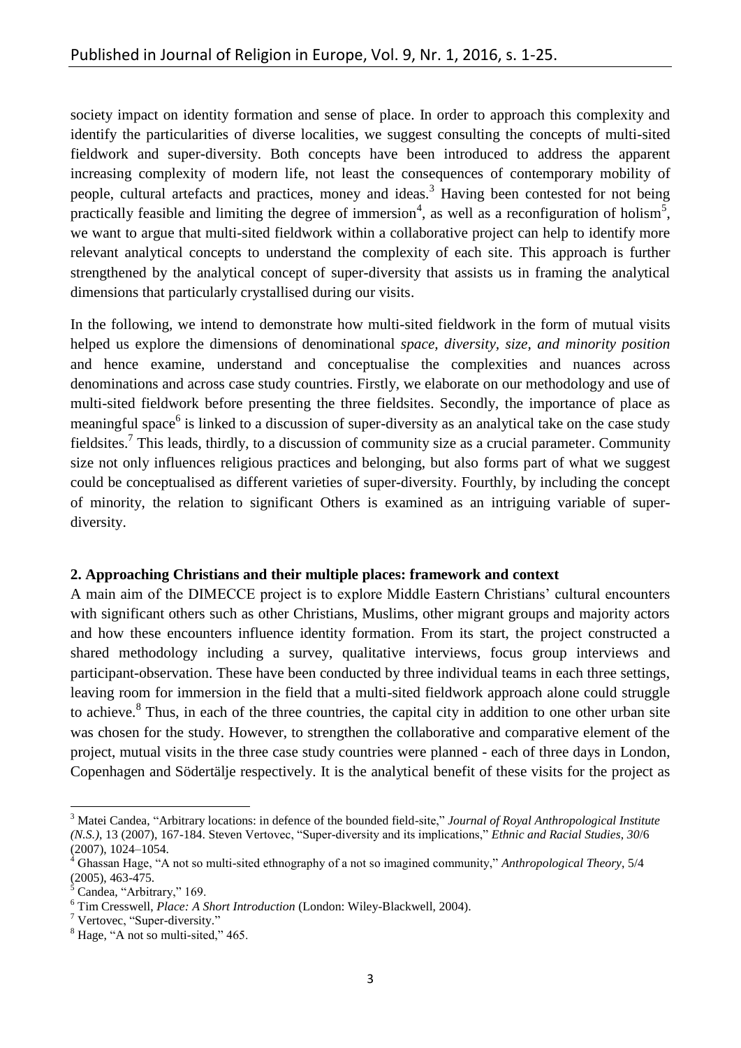society impact on identity formation and sense of place. In order to approach this complexity and identify the particularities of diverse localities, we suggest consulting the concepts of multi-sited fieldwork and super-diversity. Both concepts have been introduced to address the apparent increasing complexity of modern life, not least the consequences of contemporary mobility of people, cultural artefacts and practices, money and ideas.<sup>3</sup> Having been contested for not being practically feasible and limiting the degree of immersion<sup>4</sup>, as well as a reconfiguration of holism<sup>5</sup>, we want to argue that multi-sited fieldwork within a collaborative project can help to identify more relevant analytical concepts to understand the complexity of each site. This approach is further strengthened by the analytical concept of super-diversity that assists us in framing the analytical dimensions that particularly crystallised during our visits.

In the following, we intend to demonstrate how multi-sited fieldwork in the form of mutual visits helped us explore the dimensions of denominational *space, diversity, size, and minority position* and hence examine, understand and conceptualise the complexities and nuances across denominations and across case study countries. Firstly, we elaborate on our methodology and use of multi-sited fieldwork before presenting the three fieldsites. Secondly, the importance of place as meaningful space<sup>6</sup> is linked to a discussion of super-diversity as an analytical take on the case study fieldsites.<sup>7</sup> This leads, thirdly, to a discussion of community size as a crucial parameter. Community size not only influences religious practices and belonging, but also forms part of what we suggest could be conceptualised as different varieties of super-diversity. Fourthly, by including the concept of minority, the relation to significant Others is examined as an intriguing variable of superdiversity.

## **2. Approaching Christians and their multiple places: framework and context**

A main aim of the DIMECCE project is to explore Middle Eastern Christians' cultural encounters with significant others such as other Christians, Muslims, other migrant groups and majority actors and how these encounters influence identity formation. From its start, the project constructed a shared methodology including a survey, qualitative interviews, focus group interviews and participant-observation. These have been conducted by three individual teams in each three settings, leaving room for immersion in the field that a multi-sited fieldwork approach alone could struggle to achieve.<sup>8</sup> Thus, in each of the three countries, the capital city in addition to one other urban site was chosen for the study. However, to strengthen the collaborative and comparative element of the project, mutual visits in the three case study countries were planned - each of three days in London, Copenhagen and Södertälje respectively. It is the analytical benefit of these visits for the project as

 $\overline{a}$ <sup>3</sup> Matei Candea, "Arbitrary locations: in defence of the bounded field-site," *Journal of Royal Anthropological Institute (N.S.)*, 13 (2007), 167-184. Steven Vertovec, "Super-diversity and its implications," *Ethnic and Racial Studies*, *30*/6 (2007), 1024–1054.

<sup>4</sup> Ghassan Hage, "A not so multi-sited ethnography of a not so imagined community," *Anthropological Theory*, 5/4 (2005), 463-475.

<sup>5</sup> Candea, "Arbitrary," 169.

<sup>6</sup> Tim Cresswell, *Place: A Short Introduction* (London: Wiley-Blackwell, 2004).

<sup>7</sup> Vertovec, "Super-diversity."

<sup>&</sup>lt;sup>8</sup> Hage, "A not so multi-sited," 465.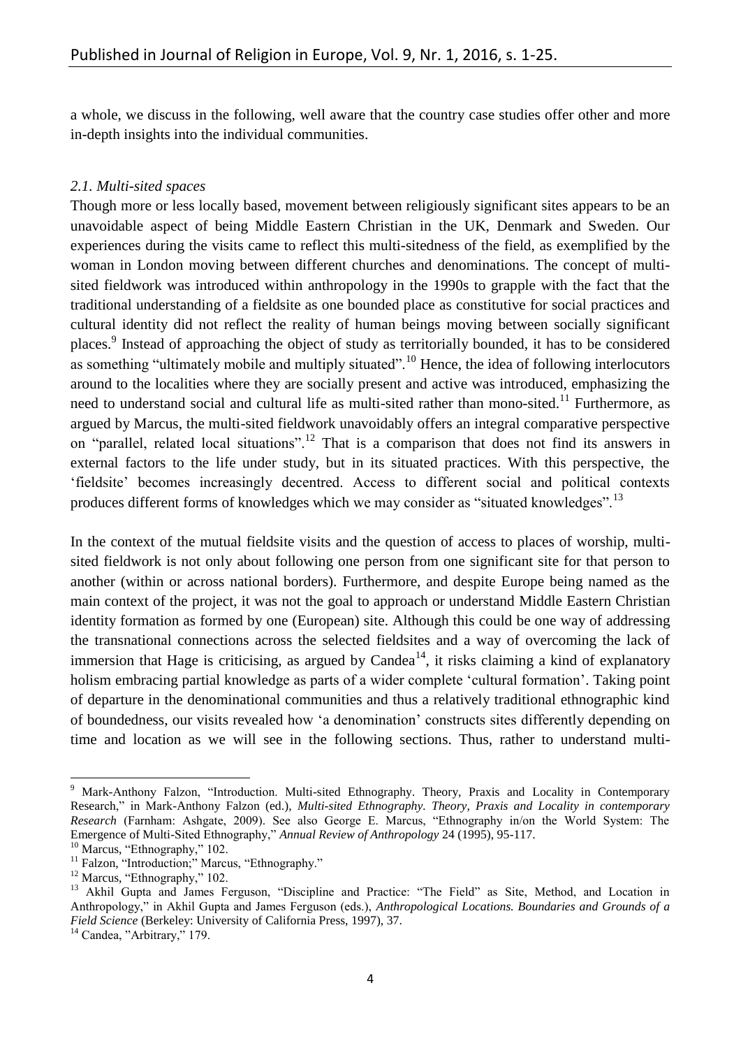a whole, we discuss in the following, well aware that the country case studies offer other and more in-depth insights into the individual communities.

# *2.1. Multi-sited spaces*

Though more or less locally based, movement between religiously significant sites appears to be an unavoidable aspect of being Middle Eastern Christian in the UK, Denmark and Sweden. Our experiences during the visits came to reflect this multi-sitedness of the field, as exemplified by the woman in London moving between different churches and denominations. The concept of multisited fieldwork was introduced within anthropology in the 1990s to grapple with the fact that the traditional understanding of a fieldsite as one bounded place as constitutive for social practices and cultural identity did not reflect the reality of human beings moving between socially significant places.<sup>9</sup> Instead of approaching the object of study as territorially bounded, it has to be considered as something "ultimately mobile and multiply situated".<sup>10</sup> Hence, the idea of following interlocutors around to the localities where they are socially present and active was introduced, emphasizing the need to understand social and cultural life as multi-sited rather than mono-sited.<sup>11</sup> Furthermore, as argued by Marcus, the multi-sited fieldwork unavoidably offers an integral comparative perspective on "parallel, related local situations".<sup>12</sup> That is a comparison that does not find its answers in external factors to the life under study, but in its situated practices. With this perspective, the 'fieldsite' becomes increasingly decentred. Access to different social and political contexts produces different forms of knowledges which we may consider as "situated knowledges".<sup>13</sup>

In the context of the mutual fieldsite visits and the question of access to places of worship, multisited fieldwork is not only about following one person from one significant site for that person to another (within or across national borders). Furthermore, and despite Europe being named as the main context of the project, it was not the goal to approach or understand Middle Eastern Christian identity formation as formed by one (European) site. Although this could be one way of addressing the transnational connections across the selected fieldsites and a way of overcoming the lack of immersion that Hage is criticising, as argued by Candea<sup>14</sup>, it risks claiming a kind of explanatory holism embracing partial knowledge as parts of a wider complete 'cultural formation'. Taking point of departure in the denominational communities and thus a relatively traditional ethnographic kind of boundedness, our visits revealed how 'a denomination' constructs sites differently depending on time and location as we will see in the following sections. Thus, rather to understand multi-

**<sup>.</sup>** Mark-Anthony Falzon, "Introduction. Multi-sited Ethnography. Theory, Praxis and Locality in Contemporary Research," in Mark-Anthony Falzon (ed.), *Multi-sited Ethnography. Theory, Praxis and Locality in contemporary Research* (Farnham: Ashgate, 2009). See also George E. Marcus, "Ethnography in/on the World System: The Emergence of Multi-Sited Ethnography," *Annual Review of Anthropology* 24 (1995), 95-117.

<sup>&</sup>lt;sup>10</sup> Marcus, "Ethnography," 102.

<sup>&</sup>lt;sup>11</sup> Falzon, "Introduction;" Marcus, "Ethnography."

<sup>&</sup>lt;sup>12</sup> Marcus, "Ethnography," 102.

<sup>&</sup>lt;sup>13</sup> Akhil Gupta and James Ferguson, "Discipline and Practice: "The Field" as Site, Method, and Location in Anthropology," in Akhil Gupta and James Ferguson (eds.), *Anthropological Locations. Boundaries and Grounds of a Field Science* (Berkeley: University of California Press, 1997), 37.

<sup>&</sup>lt;sup>14</sup> Candea, "Arbitrary," 179.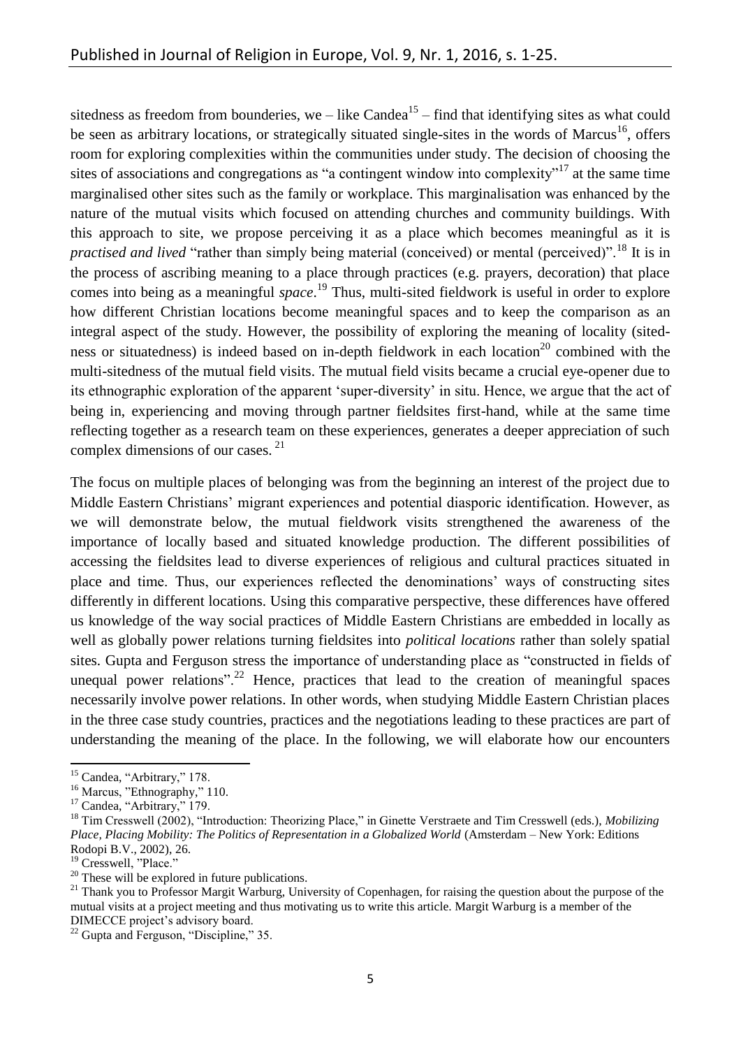sitedness as freedom from bounderies, we  $-$  like Candea<sup>15</sup>  $-$  find that identifying sites as what could be seen as arbitrary locations, or strategically situated single-sites in the words of Marcus<sup>16</sup>, offers room for exploring complexities within the communities under study. The decision of choosing the sites of associations and congregations as "a contingent window into complexity"<sup>17</sup> at the same time marginalised other sites such as the family or workplace. This marginalisation was enhanced by the nature of the mutual visits which focused on attending churches and community buildings. With this approach to site, we propose perceiving it as a place which becomes meaningful as it is *practised and lived* "rather than simply being material (conceived) or mental (perceived)".<sup>18</sup> It is in the process of ascribing meaning to a place through practices (e.g. prayers, decoration) that place comes into being as a meaningful *space*. <sup>19</sup> Thus, multi-sited fieldwork is useful in order to explore how different Christian locations become meaningful spaces and to keep the comparison as an integral aspect of the study. However, the possibility of exploring the meaning of locality (sitedness or situatedness) is indeed based on in-depth fieldwork in each location<sup>20</sup> combined with the multi-sitedness of the mutual field visits. The mutual field visits became a crucial eye-opener due to its ethnographic exploration of the apparent 'super-diversity' in situ. Hence, we argue that the act of being in, experiencing and moving through partner fieldsites first-hand, while at the same time reflecting together as a research team on these experiences, generates a deeper appreciation of such complex dimensions of our cases. <sup>21</sup>

The focus on multiple places of belonging was from the beginning an interest of the project due to Middle Eastern Christians' migrant experiences and potential diasporic identification. However, as we will demonstrate below, the mutual fieldwork visits strengthened the awareness of the importance of locally based and situated knowledge production. The different possibilities of accessing the fieldsites lead to diverse experiences of religious and cultural practices situated in place and time. Thus, our experiences reflected the denominations' ways of constructing sites differently in different locations. Using this comparative perspective, these differences have offered us knowledge of the way social practices of Middle Eastern Christians are embedded in locally as well as globally power relations turning fieldsites into *political locations* rather than solely spatial sites. Gupta and Ferguson stress the importance of understanding place as "constructed in fields of unequal power relations".<sup>22</sup> Hence, practices that lead to the creation of meaningful spaces necessarily involve power relations. In other words, when studying Middle Eastern Christian places in the three case study countries, practices and the negotiations leading to these practices are part of understanding the meaning of the place. In the following, we will elaborate how our encounters

<sup>&</sup>lt;sup>15</sup> Candea, "Arbitrary," 178.

<sup>&</sup>lt;sup>16</sup> Marcus, "Ethnography," 110.

<sup>&</sup>lt;sup>17</sup> Candea, "Arbitrary," 179.

<sup>18</sup> Tim Cresswell (2002), "Introduction: Theorizing Place," in Ginette Verstraete and Tim Cresswell (eds.), *Mobilizing Place, Placing Mobility: The Politics of Representation in a Globalized World* (Amsterdam – New York: Editions Rodopi B.V., 2002), 26.

<sup>&</sup>lt;sup>19</sup> Cresswell, "Place."

 $20$  These will be explored in future publications.

<sup>&</sup>lt;sup>21</sup> Thank you to Professor Margit Warburg, University of Copenhagen, for raising the question about the purpose of the mutual visits at a project meeting and thus motivating us to write this article. Margit Warburg is a member of the DIMECCE project's advisory board.

 $22$  Gupta and Ferguson, "Discipline," 35.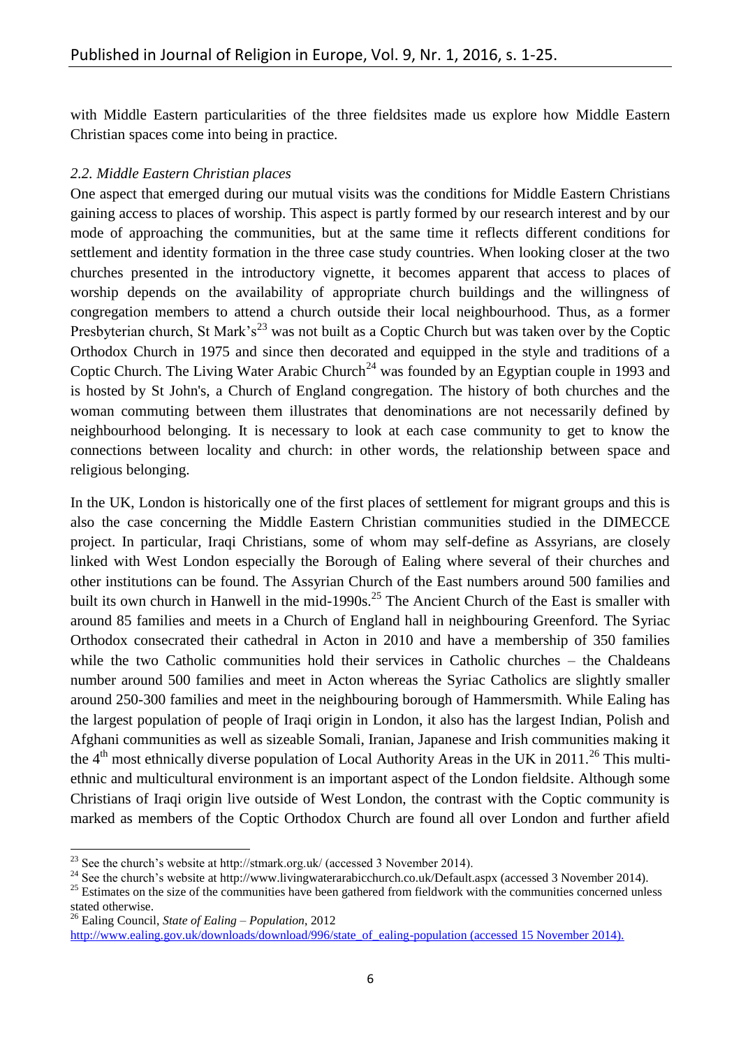with Middle Eastern particularities of the three fieldsites made us explore how Middle Eastern Christian spaces come into being in practice.

# *2.2. Middle Eastern Christian places*

One aspect that emerged during our mutual visits was the conditions for Middle Eastern Christians gaining access to places of worship. This aspect is partly formed by our research interest and by our mode of approaching the communities, but at the same time it reflects different conditions for settlement and identity formation in the three case study countries. When looking closer at the two churches presented in the introductory vignette, it becomes apparent that access to places of worship depends on the availability of appropriate church buildings and the willingness of congregation members to attend a church outside their local neighbourhood. Thus, as a former Presbyterian church, St Mark's<sup>23</sup> was not built as a Coptic Church but was taken over by the Coptic Orthodox Church in 1975 and since then decorated and equipped in the style and traditions of a Coptic Church. The Living Water Arabic Church<sup>24</sup> was founded by an Egyptian couple in 1993 and is hosted by St John's, a Church of England congregation. The history of both churches and the woman commuting between them illustrates that denominations are not necessarily defined by neighbourhood belonging. It is necessary to look at each case community to get to know the connections between locality and church: in other words, the relationship between space and religious belonging.

In the UK, London is historically one of the first places of settlement for migrant groups and this is also the case concerning the Middle Eastern Christian communities studied in the DIMECCE project. In particular, Iraqi Christians, some of whom may self-define as Assyrians, are closely linked with West London especially the Borough of Ealing where several of their churches and other institutions can be found. The Assyrian Church of the East numbers around 500 families and built its own church in Hanwell in the mid-1990s.<sup>25</sup> The Ancient Church of the East is smaller with around 85 families and meets in a Church of England hall in neighbouring Greenford. The Syriac Orthodox consecrated their cathedral in Acton in 2010 and have a membership of 350 families while the two Catholic communities hold their services in Catholic churches – the Chaldeans number around 500 families and meet in Acton whereas the Syriac Catholics are slightly smaller around 250-300 families and meet in the neighbouring borough of Hammersmith. While Ealing has the largest population of people of Iraqi origin in London, it also has the largest Indian, Polish and Afghani communities as well as sizeable Somali, Iranian, Japanese and Irish communities making it the  $4<sup>th</sup>$  most ethnically diverse population of Local Authority Areas in the UK in 2011.<sup>26</sup> This multiethnic and multicultural environment is an important aspect of the London fieldsite. Although some Christians of Iraqi origin live outside of West London, the contrast with the Coptic community is marked as members of the Coptic Orthodox Church are found all over London and further afield

<sup>&</sup>lt;sup>23</sup> See the church's website at http://stmark.org.uk/ (accessed 3 November 2014).

<sup>&</sup>lt;sup>24</sup> See the church's website at http://www.livingwaterarabicchurch.co.uk/Default.aspx (accessed 3 November 2014).

 $25$  Estimates on the size of the communities have been gathered from fieldwork with the communities concerned unless stated otherwise.

<sup>26</sup> Ealing Council, *State of Ealing – Population*, 2012 [http://www.ealing.gov.uk/downloads/download/996/state\\_of\\_ealing-population](http://www.ealing.gov.uk/downloads/download/996/state_of_ealing-population) (accessed 15 November 2014).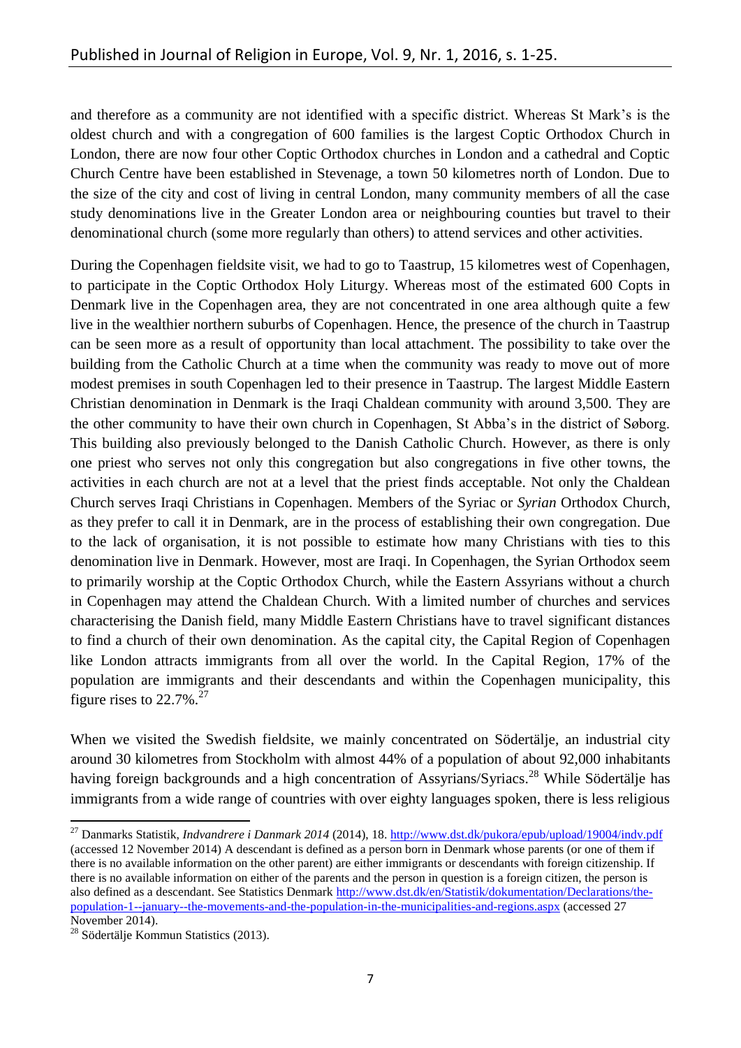and therefore as a community are not identified with a specific district. Whereas St Mark's is the oldest church and with a congregation of 600 families is the largest Coptic Orthodox Church in London, there are now four other Coptic Orthodox churches in London and a cathedral and Coptic Church Centre have been established in Stevenage, a town 50 kilometres north of London. Due to the size of the city and cost of living in central London, many community members of all the case study denominations live in the Greater London area or neighbouring counties but travel to their denominational church (some more regularly than others) to attend services and other activities.

During the Copenhagen fieldsite visit, we had to go to Taastrup, 15 kilometres west of Copenhagen, to participate in the Coptic Orthodox Holy Liturgy. Whereas most of the estimated 600 Copts in Denmark live in the Copenhagen area, they are not concentrated in one area although quite a few live in the wealthier northern suburbs of Copenhagen. Hence, the presence of the church in Taastrup can be seen more as a result of opportunity than local attachment. The possibility to take over the building from the Catholic Church at a time when the community was ready to move out of more modest premises in south Copenhagen led to their presence in Taastrup. The largest Middle Eastern Christian denomination in Denmark is the Iraqi Chaldean community with around 3,500. They are the other community to have their own church in Copenhagen, St Abba's in the district of Søborg. This building also previously belonged to the Danish Catholic Church. However, as there is only one priest who serves not only this congregation but also congregations in five other towns, the activities in each church are not at a level that the priest finds acceptable. Not only the Chaldean Church serves Iraqi Christians in Copenhagen. Members of the Syriac or *Syrian* Orthodox Church, as they prefer to call it in Denmark, are in the process of establishing their own congregation. Due to the lack of organisation, it is not possible to estimate how many Christians with ties to this denomination live in Denmark. However, most are Iraqi. In Copenhagen, the Syrian Orthodox seem to primarily worship at the Coptic Orthodox Church, while the Eastern Assyrians without a church in Copenhagen may attend the Chaldean Church. With a limited number of churches and services characterising the Danish field, many Middle Eastern Christians have to travel significant distances to find a church of their own denomination. As the capital city, the Capital Region of Copenhagen like London attracts immigrants from all over the world. In the Capital Region, 17% of the population are immigrants and their descendants and within the Copenhagen municipality, this figure rises to  $22.7\%$ .<sup>27</sup>

When we visited the Swedish fieldsite, we mainly concentrated on Södertälje, an industrial city around 30 kilometres from Stockholm with almost 44% of a population of about 92,000 inhabitants having foreign backgrounds and a high concentration of Assyrians/Syriacs.<sup>28</sup> While Södertälje has immigrants from a wide range of countries with over eighty languages spoken, there is less religious

<sup>27</sup> Danmarks Statistik, *Indvandrere i Danmark 2014* (2014), 18[. http://www.dst.dk/pukora/epub/upload/19004/indv.pdf](http://www.dst.dk/pukora/epub/upload/19004/indv.pdf) (accessed 12 November 2014) A descendant is defined as a person born in Denmark whose parents (or one of them if there is no available information on the other parent) are either immigrants or descendants with foreign citizenship. If there is no available information on either of the parents and the person in question is a foreign citizen, the person is also defined as a descendant. See Statistics Denmark [http://www.dst.dk/en/Statistik/dokumentation/Declarations/the](http://www.dst.dk/en/Statistik/dokumentation/Declarations/the-population-1--january--the-movements-and-the-population-in-the-municipalities-and-regions.aspx)[population-1--january--the-movements-and-the-population-in-the-municipalities-and-regions.aspx](http://www.dst.dk/en/Statistik/dokumentation/Declarations/the-population-1--january--the-movements-and-the-population-in-the-municipalities-and-regions.aspx) (accessed 27 November 2014).

<sup>28</sup> Södertälje Kommun Statistics (2013).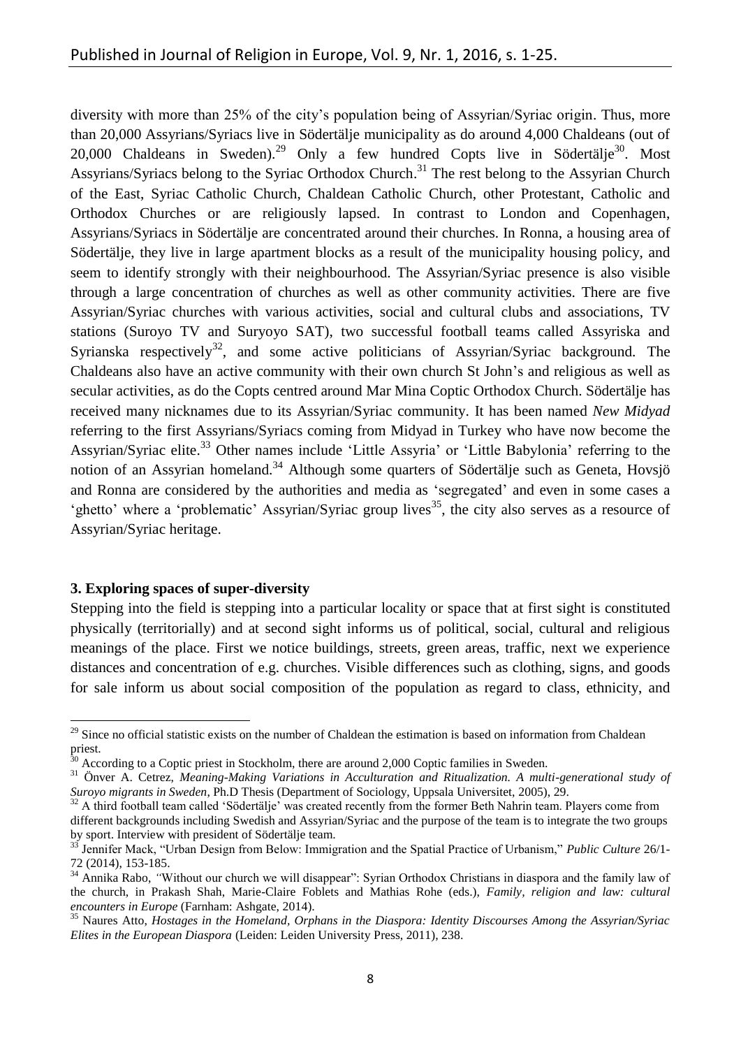diversity with more than 25% of the city's population being of Assyrian/Syriac origin. Thus, more than 20,000 Assyrians/Syriacs live in Södertälje municipality as do around 4,000 Chaldeans (out of 20,000 Chaldeans in Sweden).<sup>29</sup> Only a few hundred Copts live in Södertälje<sup>30</sup>. Most Assyrians/Syriacs belong to the Syriac Orthodox Church.<sup>31</sup> The rest belong to the Assyrian Church of the East, Syriac Catholic Church, Chaldean Catholic Church, other Protestant, Catholic and Orthodox Churches or are religiously lapsed. In contrast to London and Copenhagen, Assyrians/Syriacs in Södertälje are concentrated around their churches. In Ronna, a housing area of Södertälje, they live in large apartment blocks as a result of the municipality housing policy, and seem to identify strongly with their neighbourhood. The Assyrian/Syriac presence is also visible through a large concentration of churches as well as other community activities. There are five Assyrian/Syriac churches with various activities, social and cultural clubs and associations, TV stations (Suroyo TV and Suryoyo SAT), two successful football teams called Assyriska and Syrianska respectively<sup>32</sup>, and some active politicians of Assyrian/Syriac background. The Chaldeans also have an active community with their own church St John's and religious as well as secular activities, as do the Copts centred around Mar Mina Coptic Orthodox Church. Södertälje has received many nicknames due to its Assyrian/Syriac community. It has been named *New Midyad* referring to the first Assyrians/Syriacs coming from Midyad in Turkey who have now become the Assyrian/Syriac elite.<sup>33</sup> Other names include 'Little Assyria' or 'Little Babylonia' referring to the notion of an Assyrian homeland.<sup>34</sup> Although some quarters of Södertälje such as Geneta, Hovsjö and Ronna are considered by the authorities and media as 'segregated' and even in some cases a 'ghetto' where a 'problematic' Assyrian/Syriac group lives<sup>35</sup>, the city also serves as a resource of Assyrian/Syriac heritage.

## **3. Exploring spaces of super-diversity**

 $\overline{a}$ 

Stepping into the field is stepping into a particular locality or space that at first sight is constituted physically (territorially) and at second sight informs us of political, social, cultural and religious meanings of the place. First we notice buildings, streets, green areas, traffic, next we experience distances and concentration of e.g. churches. Visible differences such as clothing, signs, and goods for sale inform us about social composition of the population as regard to class, ethnicity, and

 $29$  Since no official statistic exists on the number of Chaldean the estimation is based on information from Chaldean priest.

<sup>&</sup>lt;sup>3</sup> According to a Coptic priest in Stockholm, there are around 2,000 Coptic families in Sweden.

<sup>31</sup> Önver A. Cetrez, *Meaning-Making Variations in Acculturation and Ritualization. A multi-generational study of Suroyo migrants in Sweden*, Ph.D Thesis (Department of Sociology, Uppsala Universitet, 2005), 29.

<sup>&</sup>lt;sup>32</sup> A third football team called 'Södertälje' was created recently from the former Beth Nahrin team. Players come from different backgrounds including Swedish and Assyrian/Syriac and the purpose of the team is to integrate the two groups by sport. Interview with president of Södertälje team.

<sup>&</sup>lt;sup>33</sup> Jennifer Mack, "Urban Design from Below: Immigration and the Spatial Practice of Urbanism," *Public Culture* 26/1-72 (2014), 153-185.

<sup>&</sup>lt;sup>34</sup> Annika Rabo, *"Without our church we will disappear"*: Syrian Orthodox Christians in diaspora and the family law of the church, in Prakash Shah, Marie-Claire Foblets and Mathias Rohe (eds.), *Family, religion and law: cultural encounters in Europe* (Farnham: Ashgate, 2014).

<sup>35</sup> Naures Atto, *Hostages in the Homeland, Orphans in the Diaspora: Identity Discourses Among the Assyrian/Syriac Elites in the European Diaspora* (Leiden: Leiden University Press, 2011), 238.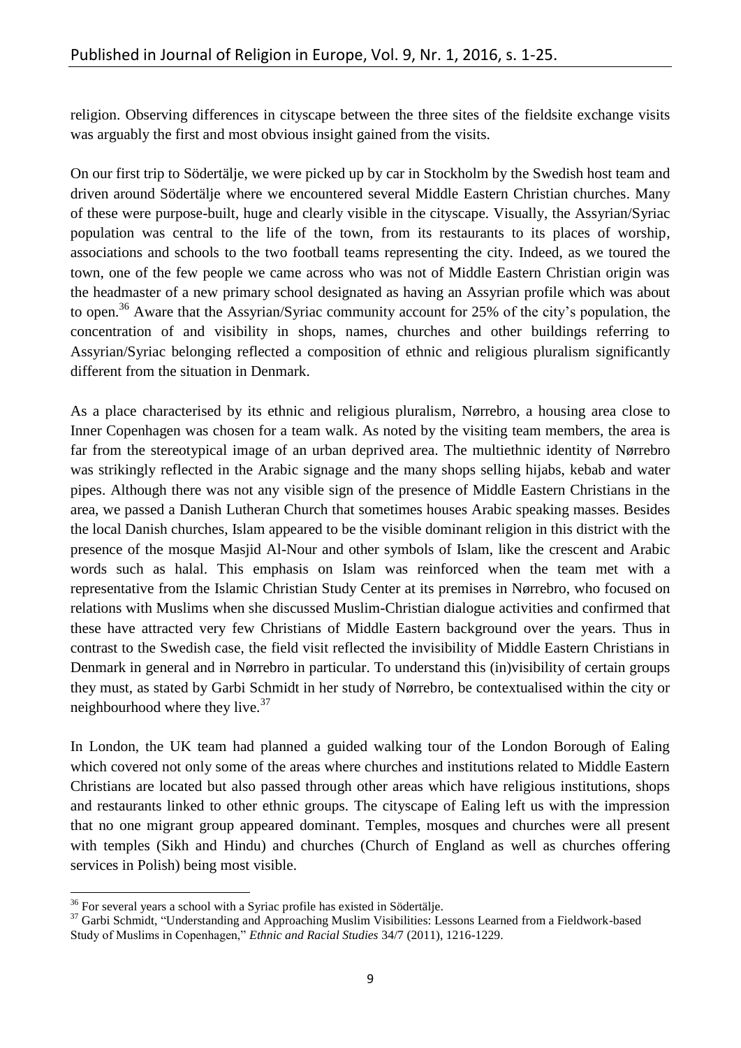religion. Observing differences in cityscape between the three sites of the fieldsite exchange visits was arguably the first and most obvious insight gained from the visits.

On our first trip to Södertälje, we were picked up by car in Stockholm by the Swedish host team and driven around Södertälje where we encountered several Middle Eastern Christian churches. Many of these were purpose-built, huge and clearly visible in the cityscape. Visually, the Assyrian/Syriac population was central to the life of the town, from its restaurants to its places of worship, associations and schools to the two football teams representing the city. Indeed, as we toured the town, one of the few people we came across who was not of Middle Eastern Christian origin was the headmaster of a new primary school designated as having an Assyrian profile which was about to open.<sup>36</sup> Aware that the Assyrian/Syriac community account for 25% of the city's population, the concentration of and visibility in shops, names, churches and other buildings referring to Assyrian/Syriac belonging reflected a composition of ethnic and religious pluralism significantly different from the situation in Denmark.

As a place characterised by its ethnic and religious pluralism, Nørrebro, a housing area close to Inner Copenhagen was chosen for a team walk. As noted by the visiting team members, the area is far from the stereotypical image of an urban deprived area. The multiethnic identity of Nørrebro was strikingly reflected in the Arabic signage and the many shops selling hijabs, kebab and water pipes. Although there was not any visible sign of the presence of Middle Eastern Christians in the area, we passed a Danish Lutheran Church that sometimes houses Arabic speaking masses. Besides the local Danish churches, Islam appeared to be the visible dominant religion in this district with the presence of the mosque Masjid Al-Nour and other symbols of Islam, like the crescent and Arabic words such as halal. This emphasis on Islam was reinforced when the team met with a representative from the Islamic Christian Study Center at its premises in Nørrebro, who focused on relations with Muslims when she discussed Muslim-Christian dialogue activities and confirmed that these have attracted very few Christians of Middle Eastern background over the years. Thus in contrast to the Swedish case, the field visit reflected the invisibility of Middle Eastern Christians in Denmark in general and in Nørrebro in particular. To understand this (in)visibility of certain groups they must, as stated by Garbi Schmidt in her study of Nørrebro, be contextualised within the city or neighbourhood where they live.<sup>37</sup>

In London, the UK team had planned a guided walking tour of the London Borough of Ealing which covered not only some of the areas where churches and institutions related to Middle Eastern Christians are located but also passed through other areas which have religious institutions, shops and restaurants linked to other ethnic groups. The cityscape of Ealing left us with the impression that no one migrant group appeared dominant. Temples, mosques and churches were all present with temples (Sikh and Hindu) and churches (Church of England as well as churches offering services in Polish) being most visible.

**<sup>.</sup>** <sup>36</sup> For several years a school with a Syriac profile has existed in Södertälje.

<sup>&</sup>lt;sup>37</sup> Garbi Schmidt, "Understanding and Approaching Muslim Visibilities: Lessons Learned from a Fieldwork-based Study of Muslims in Copenhagen," *Ethnic and Racial Studies* 34/7 (2011), 1216-1229.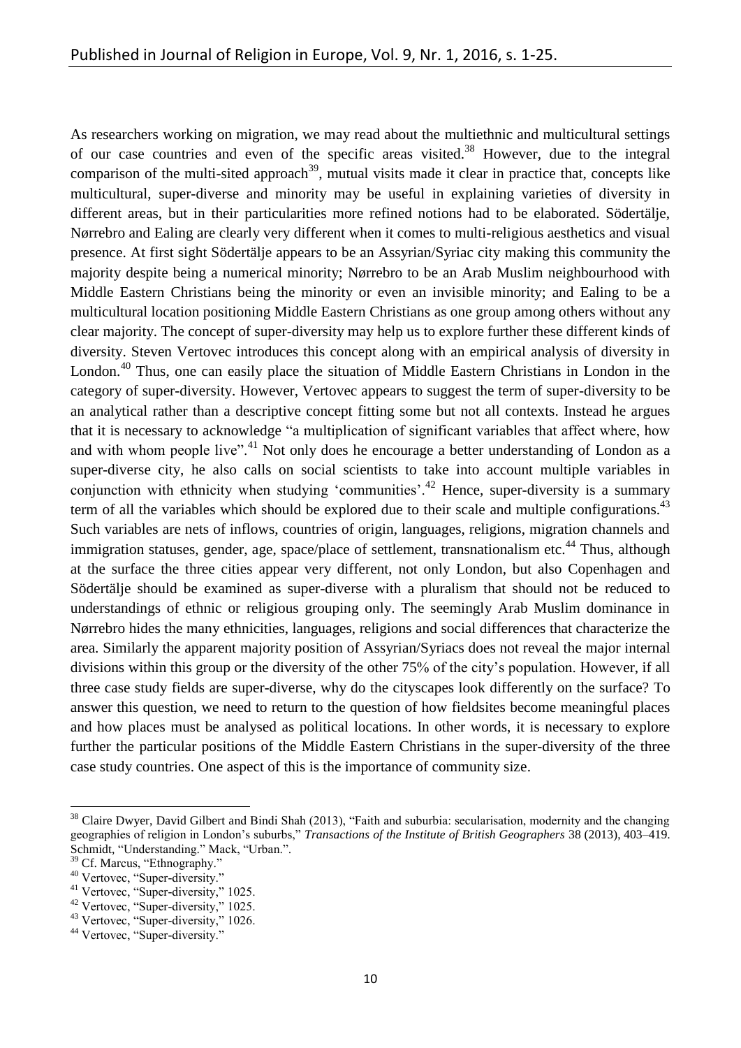As researchers working on migration, we may read about the multiethnic and multicultural settings of our case countries and even of the specific areas visited.<sup>38</sup> However, due to the integral comparison of the multi-sited approach<sup>39</sup>, mutual visits made it clear in practice that, concepts like multicultural, super-diverse and minority may be useful in explaining varieties of diversity in different areas, but in their particularities more refined notions had to be elaborated. Södertälje, Nørrebro and Ealing are clearly very different when it comes to multi-religious aesthetics and visual presence. At first sight Södertälje appears to be an Assyrian/Syriac city making this community the majority despite being a numerical minority; Nørrebro to be an Arab Muslim neighbourhood with Middle Eastern Christians being the minority or even an invisible minority; and Ealing to be a multicultural location positioning Middle Eastern Christians as one group among others without any clear majority. The concept of super-diversity may help us to explore further these different kinds of diversity. Steven Vertovec introduces this concept along with an empirical analysis of diversity in London.<sup>40</sup> Thus, one can easily place the situation of Middle Eastern Christians in London in the category of super-diversity. However, Vertovec appears to suggest the term of super-diversity to be an analytical rather than a descriptive concept fitting some but not all contexts. Instead he argues that it is necessary to acknowledge "a multiplication of significant variables that affect where, how and with whom people live".<sup>41</sup> Not only does he encourage a better understanding of London as a super-diverse city, he also calls on social scientists to take into account multiple variables in conjunction with ethnicity when studying 'communities'.<sup>42</sup> Hence, super-diversity is a summary term of all the variables which should be explored due to their scale and multiple configurations.<sup>43</sup> Such variables are nets of inflows, countries of origin, languages, religions, migration channels and immigration statuses, gender, age, space/place of settlement, transnationalism etc.<sup>44</sup> Thus, although at the surface the three cities appear very different, not only London, but also Copenhagen and Södertälje should be examined as super-diverse with a pluralism that should not be reduced to understandings of ethnic or religious grouping only. The seemingly Arab Muslim dominance in Nørrebro hides the many ethnicities, languages, religions and social differences that characterize the area. Similarly the apparent majority position of Assyrian/Syriacs does not reveal the major internal divisions within this group or the diversity of the other 75% of the city's population. However, if all three case study fields are super-diverse, why do the cityscapes look differently on the surface? To answer this question, we need to return to the question of how fieldsites become meaningful places and how places must be analysed as political locations. In other words, it is necessary to explore further the particular positions of the Middle Eastern Christians in the super-diversity of the three case study countries. One aspect of this is the importance of community size.

 $\overline{a}$ <sup>38</sup> Claire Dwyer, David Gilbert and Bindi Shah (2013), "Faith and suburbia: secularisation, modernity and the changing geographies of religion in London's suburbs," *Transactions of the Institute of British Geographers* 38 (2013), 403–419. Schmidt, "Understanding." Mack, "Urban.".

<sup>&</sup>lt;sup>39</sup> Cf. Marcus, "Ethnography."

<sup>40</sup> Vertovec, "Super-diversity."

<sup>&</sup>lt;sup>41</sup> Vertovec, "Super-diversity," 1025.

<sup>&</sup>lt;sup>42</sup> Vertovec, "Super-diversity," 1025.

<sup>&</sup>lt;sup>43</sup> Vertovec, "Super-diversity," 1026.

<sup>&</sup>lt;sup>44</sup> Vertovec, "Super-diversity."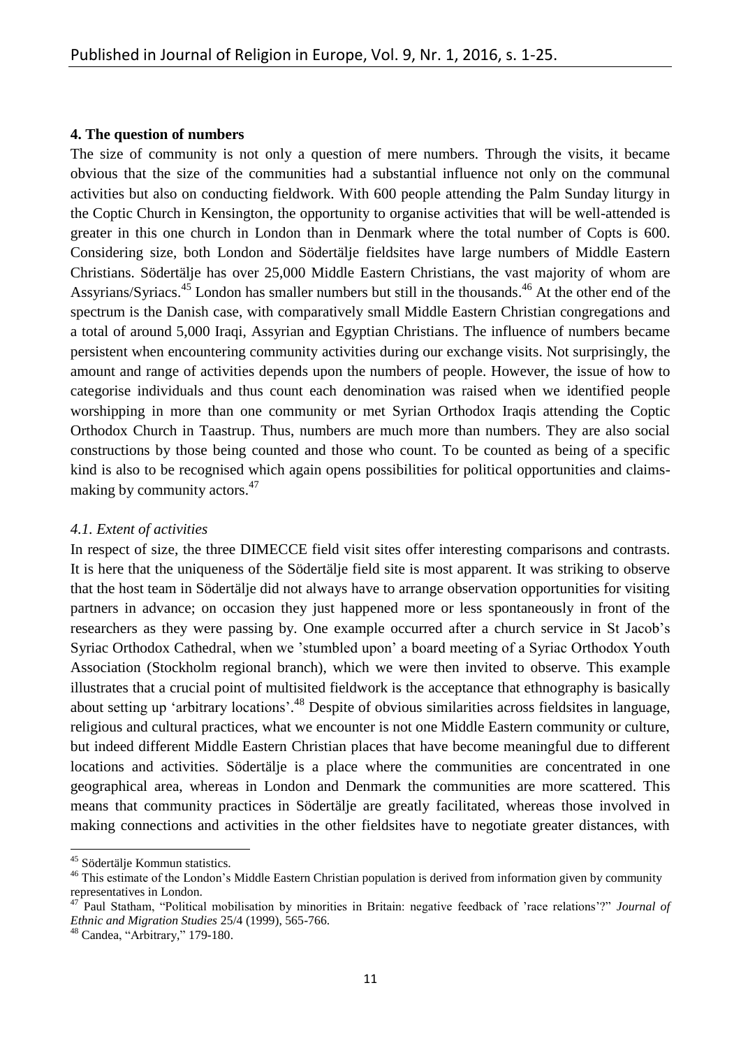#### **4. The question of numbers**

The size of community is not only a question of mere numbers. Through the visits, it became obvious that the size of the communities had a substantial influence not only on the communal activities but also on conducting fieldwork. With 600 people attending the Palm Sunday liturgy in the Coptic Church in Kensington, the opportunity to organise activities that will be well-attended is greater in this one church in London than in Denmark where the total number of Copts is 600. Considering size, both London and Södertälje fieldsites have large numbers of Middle Eastern Christians. Södertälje has over 25,000 Middle Eastern Christians, the vast majority of whom are Assyrians/Syriacs. <sup>45</sup> London has smaller numbers but still in the thousands. <sup>46</sup> At the other end of the spectrum is the Danish case, with comparatively small Middle Eastern Christian congregations and a total of around 5,000 Iraqi, Assyrian and Egyptian Christians. The influence of numbers became persistent when encountering community activities during our exchange visits. Not surprisingly, the amount and range of activities depends upon the numbers of people. However, the issue of how to categorise individuals and thus count each denomination was raised when we identified people worshipping in more than one community or met Syrian Orthodox Iraqis attending the Coptic Orthodox Church in Taastrup. Thus, numbers are much more than numbers. They are also social constructions by those being counted and those who count. To be counted as being of a specific kind is also to be recognised which again opens possibilities for political opportunities and claimsmaking by community actors.<sup>47</sup>

#### *4.1. Extent of activities*

In respect of size, the three DIMECCE field visit sites offer interesting comparisons and contrasts. It is here that the uniqueness of the Södertälje field site is most apparent. It was striking to observe that the host team in Södertälje did not always have to arrange observation opportunities for visiting partners in advance; on occasion they just happened more or less spontaneously in front of the researchers as they were passing by. One example occurred after a church service in St Jacob's Syriac Orthodox Cathedral, when we 'stumbled upon' a board meeting of a Syriac Orthodox Youth Association (Stockholm regional branch), which we were then invited to observe. This example illustrates that a crucial point of multisited fieldwork is the acceptance that ethnography is basically about setting up 'arbitrary locations'.<sup>48</sup> Despite of obvious similarities across fieldsites in language, religious and cultural practices, what we encounter is not one Middle Eastern community or culture, but indeed different Middle Eastern Christian places that have become meaningful due to different locations and activities. Södertälje is a place where the communities are concentrated in one geographical area, whereas in London and Denmark the communities are more scattered. This means that community practices in Södertälje are greatly facilitated, whereas those involved in making connections and activities in the other fieldsites have to negotiate greater distances, with

<sup>45</sup> Södertälje Kommun statistics.

<sup>&</sup>lt;sup>46</sup> This estimate of the London's Middle Eastern Christian population is derived from information given by community representatives in London.

<sup>47</sup> Paul Statham, "Political mobilisation by minorities in Britain: negative feedback of 'race relations'?" *Journal of Ethnic and Migration Studies* 25/4 (1999), 565-766.

<sup>48</sup> Candea, "Arbitrary," 179-180.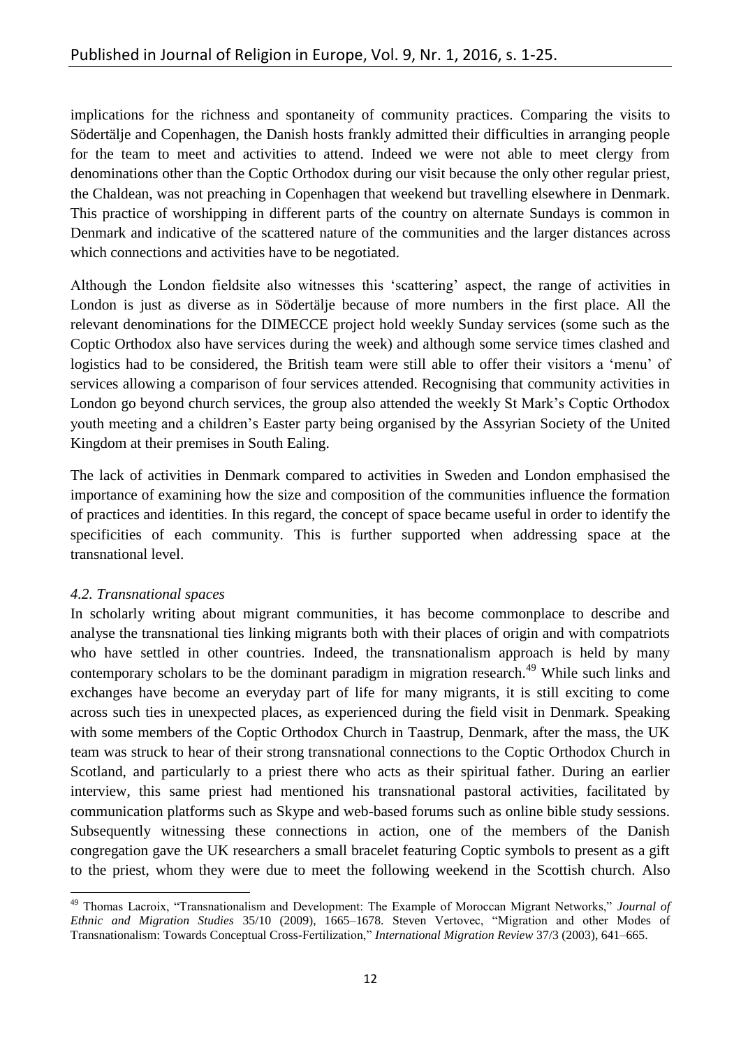implications for the richness and spontaneity of community practices. Comparing the visits to Södertälje and Copenhagen, the Danish hosts frankly admitted their difficulties in arranging people for the team to meet and activities to attend. Indeed we were not able to meet clergy from denominations other than the Coptic Orthodox during our visit because the only other regular priest, the Chaldean, was not preaching in Copenhagen that weekend but travelling elsewhere in Denmark. This practice of worshipping in different parts of the country on alternate Sundays is common in Denmark and indicative of the scattered nature of the communities and the larger distances across which connections and activities have to be negotiated.

Although the London fieldsite also witnesses this 'scattering' aspect, the range of activities in London is just as diverse as in Södertälje because of more numbers in the first place. All the relevant denominations for the DIMECCE project hold weekly Sunday services (some such as the Coptic Orthodox also have services during the week) and although some service times clashed and logistics had to be considered, the British team were still able to offer their visitors a 'menu' of services allowing a comparison of four services attended. Recognising that community activities in London go beyond church services, the group also attended the weekly St Mark's Coptic Orthodox youth meeting and a children's Easter party being organised by the Assyrian Society of the United Kingdom at their premises in South Ealing.

The lack of activities in Denmark compared to activities in Sweden and London emphasised the importance of examining how the size and composition of the communities influence the formation of practices and identities. In this regard, the concept of space became useful in order to identify the specificities of each community. This is further supported when addressing space at the transnational level.

# *4.2. Transnational spaces*

In scholarly writing about migrant communities, it has become commonplace to describe and analyse the transnational ties linking migrants both with their places of origin and with compatriots who have settled in other countries. Indeed, the transnationalism approach is held by many contemporary scholars to be the dominant paradigm in migration research.<sup>49</sup> While such links and exchanges have become an everyday part of life for many migrants, it is still exciting to come across such ties in unexpected places, as experienced during the field visit in Denmark. Speaking with some members of the Coptic Orthodox Church in Taastrup, Denmark, after the mass, the UK team was struck to hear of their strong transnational connections to the Coptic Orthodox Church in Scotland, and particularly to a priest there who acts as their spiritual father. During an earlier interview, this same priest had mentioned his transnational pastoral activities, facilitated by communication platforms such as Skype and web-based forums such as online bible study sessions. Subsequently witnessing these connections in action, one of the members of the Danish congregation gave the UK researchers a small bracelet featuring Coptic symbols to present as a gift to the priest, whom they were due to meet the following weekend in the Scottish church. Also

**<sup>.</sup>** <sup>49</sup> Thomas Lacroix, "Transnationalism and Development: The Example of Moroccan Migrant Networks," *Journal of Ethnic and Migration Studies* 35/10 (2009), 1665–1678. Steven Vertovec, "Migration and other Modes of Transnationalism: Towards Conceptual Cross-Fertilization," *International Migration Review* 37/3 (2003), 641–665.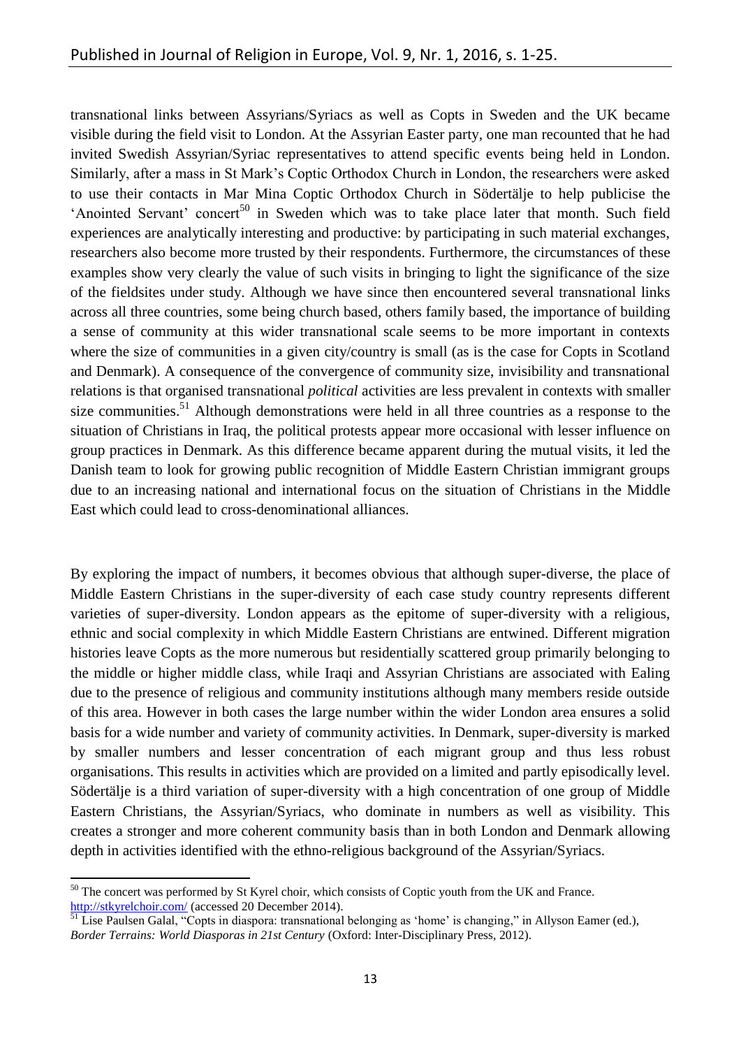transnational links between Assyrians/Syriacs as well as Copts in Sweden and the UK became visible during the field visit to London. At the Assyrian Easter party, one man recounted that he had invited Swedish Assyrian/Syriac representatives to attend specific events being held in London. Similarly, after a mass in St Mark's Coptic Orthodox Church in London, the researchers were asked to use their contacts in Mar Mina Coptic Orthodox Church in Södertälje to help publicise the 'Anointed Servant' concert<sup>50</sup> in Sweden which was to take place later that month. Such field experiences are analytically interesting and productive: by participating in such material exchanges, researchers also become more trusted by their respondents. Furthermore, the circumstances of these examples show very clearly the value of such visits in bringing to light the significance of the size of the fieldsites under study. Although we have since then encountered several transnational links across all three countries, some being church based, others family based, the importance of building a sense of community at this wider transnational scale seems to be more important in contexts where the size of communities in a given city/country is small (as is the case for Copts in Scotland and Denmark). A consequence of the convergence of community size, invisibility and transnational relations is that organised transnational *political* activities are less prevalent in contexts with smaller size communities.<sup>51</sup> Although demonstrations were held in all three countries as a response to the situation of Christians in Iraq, the political protests appear more occasional with lesser influence on group practices in Denmark. As this difference became apparent during the mutual visits, it led the Danish team to look for growing public recognition of Middle Eastern Christian immigrant groups due to an increasing national and international focus on the situation of Christians in the Middle East which could lead to cross-denominational alliances.

By exploring the impact of numbers, it becomes obvious that although super-diverse, the place of Middle Eastern Christians in the super-diversity of each case study country represents different varieties of super-diversity. London appears as the epitome of super-diversity with a religious, ethnic and social complexity in which Middle Eastern Christians are entwined. Different migration histories leave Copts as the more numerous but residentially scattered group primarily belonging to the middle or higher middle class, while Iraqi and Assyrian Christians are associated with Ealing due to the presence of religious and community institutions although many members reside outside of this area. However in both cases the large number within the wider London area ensures a solid basis for a wide number and variety of community activities. In Denmark, super-diversity is marked by smaller numbers and lesser concentration of each migrant group and thus less robust organisations. This results in activities which are provided on a limited and partly episodically level. Södertälje is a third variation of super-diversity with a high concentration of one group of Middle Eastern Christians, the Assyrian/Syriacs, who dominate in numbers as well as visibility. This creates a stronger and more coherent community basis than in both London and Denmark allowing depth in activities identified with the ethno-religious background of the Assyrian/Syriacs.

**<sup>.</sup>**  $50$  The concert was performed by St Kyrel choir, which consists of Coptic youth from the UK and France. <http://stkyrelchoir.com/> (accessed 20 December 2014).

 $\frac{51}{12}$  Lise Paulsen Galal, "Copts in diaspora: transnational belonging as 'home' is changing," in Allyson Eamer (ed.), *Border Terrains: World Diasporas in 21st Century* (Oxford: Inter-Disciplinary Press, 2012).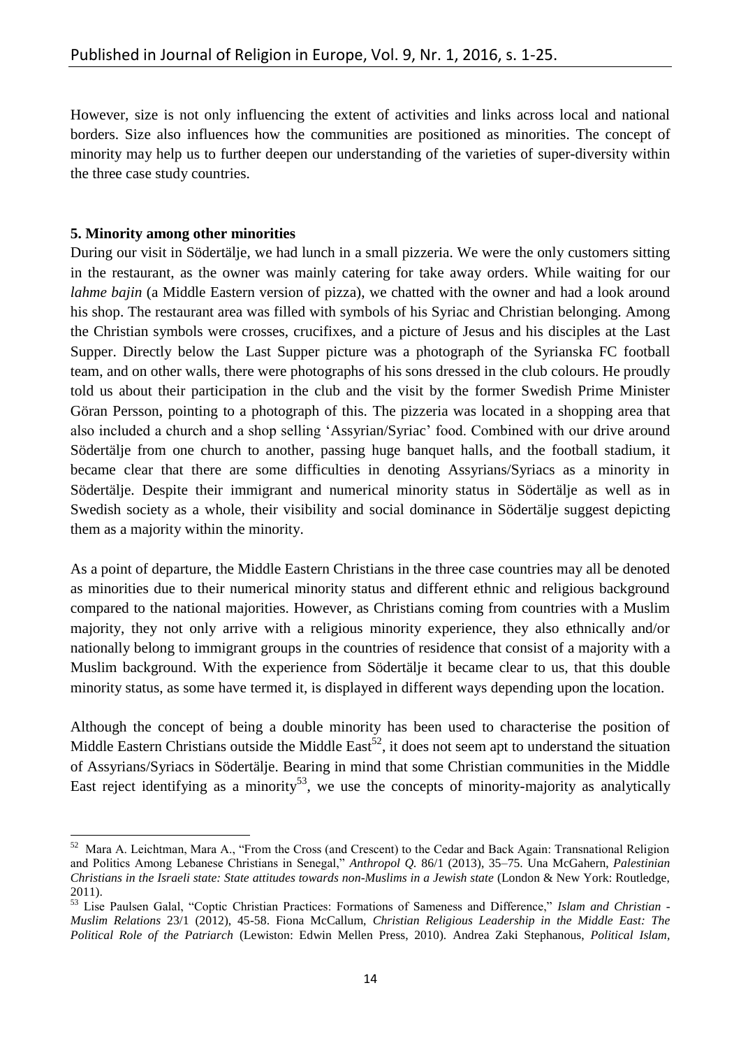However, size is not only influencing the extent of activities and links across local and national borders. Size also influences how the communities are positioned as minorities. The concept of minority may help us to further deepen our understanding of the varieties of super-diversity within the three case study countries.

# **5. Minority among other minorities**

During our visit in Södertälje, we had lunch in a small pizzeria. We were the only customers sitting in the restaurant, as the owner was mainly catering for take away orders. While waiting for our *lahme bajin* (a Middle Eastern version of pizza), we chatted with the owner and had a look around his shop. The restaurant area was filled with symbols of his Syriac and Christian belonging. Among the Christian symbols were crosses, crucifixes, and a picture of Jesus and his disciples at the Last Supper. Directly below the Last Supper picture was a photograph of the Syrianska FC football team, and on other walls, there were photographs of his sons dressed in the club colours. He proudly told us about their participation in the club and the visit by the former Swedish Prime Minister Göran Persson, pointing to a photograph of this. The pizzeria was located in a shopping area that also included a church and a shop selling 'Assyrian/Syriac' food. Combined with our drive around Södertälje from one church to another, passing huge banquet halls, and the football stadium, it became clear that there are some difficulties in denoting Assyrians/Syriacs as a minority in Södertälje. Despite their immigrant and numerical minority status in Södertälje as well as in Swedish society as a whole, their visibility and social dominance in Södertälje suggest depicting them as a majority within the minority.

As a point of departure, the Middle Eastern Christians in the three case countries may all be denoted as minorities due to their numerical minority status and different ethnic and religious background compared to the national majorities. However, as Christians coming from countries with a Muslim majority, they not only arrive with a religious minority experience, they also ethnically and/or nationally belong to immigrant groups in the countries of residence that consist of a majority with a Muslim background. With the experience from Södertälje it became clear to us, that this double minority status, as some have termed it, is displayed in different ways depending upon the location.

Although the concept of being a double minority has been used to characterise the position of Middle Eastern Christians outside the Middle East<sup>52</sup>, it does not seem apt to understand the situation of Assyrians/Syriacs in Södertälje. Bearing in mind that some Christian communities in the Middle East reject identifying as a minority<sup>53</sup>, we use the concepts of minority-majority as analytically

<sup>&</sup>lt;sup>52</sup> Mara A. Leichtman, Mara A., "From the Cross (and Crescent) to the Cedar and Back Again: Transnational Religion and Politics Among Lebanese Christians in Senegal," *Anthropol Q.* 86/1 (2013), 35–75. Una McGahern, *Palestinian Christians in the Israeli state: State attitudes towards non-Muslims in a Jewish state* (London & New York: Routledge, 2011).

<sup>53</sup> Lise Paulsen Galal, "Coptic Christian Practices: Formations of Sameness and Difference," *Islam and Christian - Muslim Relations* 23/1 (2012), 45-58. Fiona McCallum, *Christian Religious Leadership in the Middle East: The Political Role of the Patriarch* (Lewiston: Edwin Mellen Press, 2010). Andrea Zaki Stephanous, *Political Islam,*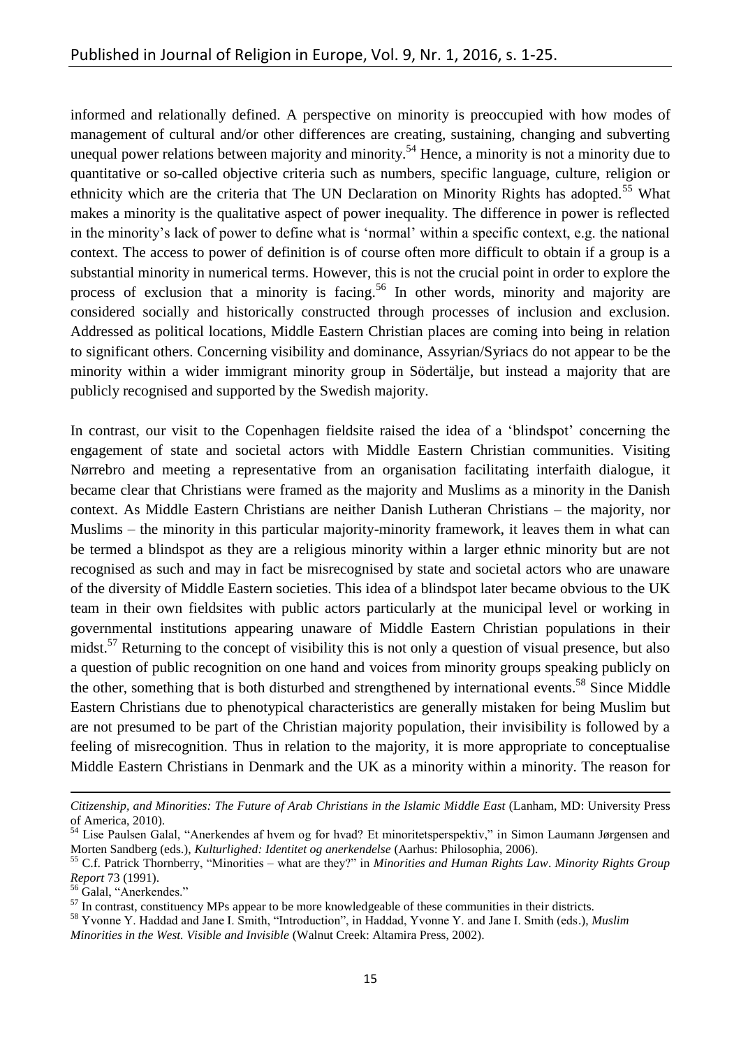informed and relationally defined. A perspective on minority is preoccupied with how modes of management of cultural and/or other differences are creating, sustaining, changing and subverting unequal power relations between majority and minority.<sup>54</sup> Hence, a minority is not a minority due to quantitative or so-called objective criteria such as numbers, specific language, culture, religion or ethnicity which are the criteria that The UN Declaration on Minority Rights has adopted.<sup>55</sup> What makes a minority is the qualitative aspect of power inequality. The difference in power is reflected in the minority's lack of power to define what is 'normal' within a specific context, e.g. the national context. The access to power of definition is of course often more difficult to obtain if a group is a substantial minority in numerical terms. However, this is not the crucial point in order to explore the process of exclusion that a minority is facing.<sup>56</sup> In other words, minority and majority are considered socially and historically constructed through processes of inclusion and exclusion. Addressed as political locations, Middle Eastern Christian places are coming into being in relation to significant others. Concerning visibility and dominance, Assyrian/Syriacs do not appear to be the minority within a wider immigrant minority group in Södertälje, but instead a majority that are publicly recognised and supported by the Swedish majority.

In contrast, our visit to the Copenhagen fieldsite raised the idea of a 'blindspot' concerning the engagement of state and societal actors with Middle Eastern Christian communities. Visiting Nørrebro and meeting a representative from an organisation facilitating interfaith dialogue, it became clear that Christians were framed as the majority and Muslims as a minority in the Danish context. As Middle Eastern Christians are neither Danish Lutheran Christians – the majority, nor Muslims – the minority in this particular majority-minority framework, it leaves them in what can be termed a blindspot as they are a religious minority within a larger ethnic minority but are not recognised as such and may in fact be misrecognised by state and societal actors who are unaware of the diversity of Middle Eastern societies. This idea of a blindspot later became obvious to the UK team in their own fieldsites with public actors particularly at the municipal level or working in governmental institutions appearing unaware of Middle Eastern Christian populations in their midst.<sup>57</sup> Returning to the concept of visibility this is not only a question of visual presence, but also a question of public recognition on one hand and voices from minority groups speaking publicly on the other, something that is both disturbed and strengthened by international events.<sup>58</sup> Since Middle Eastern Christians due to phenotypical characteristics are generally mistaken for being Muslim but are not presumed to be part of the Christian majority population, their invisibility is followed by a feeling of misrecognition. Thus in relation to the majority, it is more appropriate to conceptualise Middle Eastern Christians in Denmark and the UK as a minority within a minority. The reason for

**.** 

*Citizenship, and Minorities: The Future of Arab Christians in the Islamic Middle East* (Lanham, MD: University Press of America, 2010).

<sup>&</sup>lt;sup>54</sup> Lise Paulsen Galal, "Anerkendes af hvem og for hvad? Et minoritetsperspektiv," in Simon Laumann Jørgensen and Morten Sandberg (eds.), *Kulturlighed: Identitet og anerkendelse* (Aarhus: Philosophia, 2006).

<sup>55</sup> C.f. Patrick Thornberry, "Minorities – what are they?" in *Minorities and Human Rights Law*. *Minority Rights Group Report* 73 (1991).

<sup>&</sup>lt;sup>56</sup> Galal, "Anerkendes."

<sup>&</sup>lt;sup>57</sup> In contrast, constituency MPs appear to be more knowledgeable of these communities in their districts.

<sup>58</sup> Yvonne Y. Haddad and Jane I. Smith, "Introduction", in Haddad, Yvonne Y. and Jane I. Smith (eds.), *Muslim Minorities in the West. Visible and Invisible* (Walnut Creek: Altamira Press, 2002).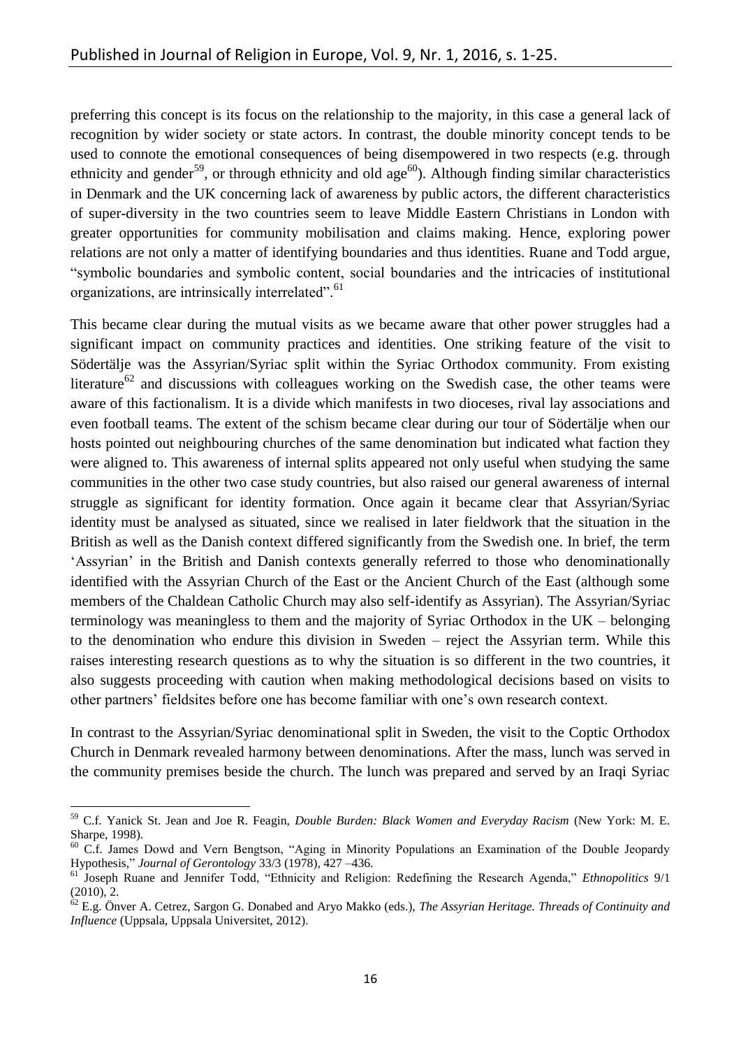preferring this concept is its focus on the relationship to the majority, in this case a general lack of recognition by wider society or state actors. In contrast, the double minority concept tends to be used to connote the emotional consequences of being disempowered in two respects (e.g. through ethnicity and gender<sup>59</sup>, or through ethnicity and old age<sup>60</sup>). Although finding similar characteristics in Denmark and the UK concerning lack of awareness by public actors, the different characteristics of super-diversity in the two countries seem to leave Middle Eastern Christians in London with greater opportunities for community mobilisation and claims making. Hence, exploring power relations are not only a matter of identifying boundaries and thus identities. Ruane and Todd argue, "symbolic boundaries and symbolic content, social boundaries and the intricacies of institutional organizations, are intrinsically interrelated".<sup>61</sup>

This became clear during the mutual visits as we became aware that other power struggles had a significant impact on community practices and identities. One striking feature of the visit to Södertälje was the Assyrian/Syriac split within the Syriac Orthodox community. From existing literature<sup>62</sup> and discussions with colleagues working on the Swedish case, the other teams were aware of this factionalism. It is a divide which manifests in two dioceses, rival lay associations and even football teams. The extent of the schism became clear during our tour of Södertälje when our hosts pointed out neighbouring churches of the same denomination but indicated what faction they were aligned to. This awareness of internal splits appeared not only useful when studying the same communities in the other two case study countries, but also raised our general awareness of internal struggle as significant for identity formation. Once again it became clear that Assyrian/Syriac identity must be analysed as situated, since we realised in later fieldwork that the situation in the British as well as the Danish context differed significantly from the Swedish one. In brief, the term 'Assyrian' in the British and Danish contexts generally referred to those who denominationally identified with the Assyrian Church of the East or the Ancient Church of the East (although some members of the Chaldean Catholic Church may also self-identify as Assyrian). The Assyrian/Syriac terminology was meaningless to them and the majority of Syriac Orthodox in the UK – belonging to the denomination who endure this division in Sweden – reject the Assyrian term. While this raises interesting research questions as to why the situation is so different in the two countries, it also suggests proceeding with caution when making methodological decisions based on visits to other partners' fieldsites before one has become familiar with one's own research context.

In contrast to the Assyrian/Syriac denominational split in Sweden, the visit to the Coptic Orthodox Church in Denmark revealed harmony between denominations. After the mass, lunch was served in the community premises beside the church. The lunch was prepared and served by an Iraqi Syriac

 $\overline{a}$ 

<sup>59</sup> C.f. Yanick St. Jean and Joe R. Feagin, *Double Burden: Black Women and Everyday Racism* (New York: M. E. Sharpe, 1998).

<sup>&</sup>lt;sup>60</sup> C.f. James Dowd and Vern Bengtson, "Aging in Minority Populations an Examination of the Double Jeopardy Hypothesis," *Journal of Gerontology* 33/3 (1978), 427 –436.

<sup>61</sup> Joseph Ruane and Jennifer Todd, "Ethnicity and Religion: Redefining the Research Agenda," *Ethnopolitics* 9/1  $(2010), 2.$ 

<sup>62</sup> E.g. Önver A. Cetrez, Sargon G. Donabed and Aryo Makko (eds.), *The Assyrian Heritage. Threads of Continuity and Influence* (Uppsala, Uppsala Universitet, 2012).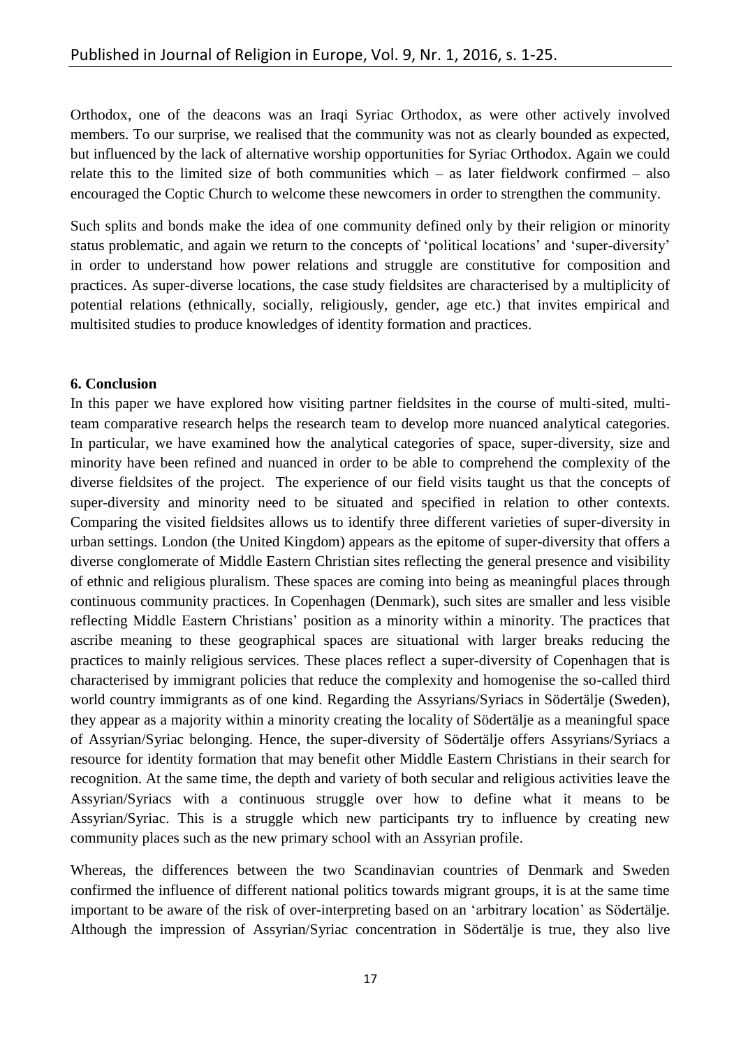Orthodox, one of the deacons was an Iraqi Syriac Orthodox, as were other actively involved members. To our surprise, we realised that the community was not as clearly bounded as expected, but influenced by the lack of alternative worship opportunities for Syriac Orthodox. Again we could relate this to the limited size of both communities which – as later fieldwork confirmed – also encouraged the Coptic Church to welcome these newcomers in order to strengthen the community.

Such splits and bonds make the idea of one community defined only by their religion or minority status problematic, and again we return to the concepts of 'political locations' and 'super-diversity' in order to understand how power relations and struggle are constitutive for composition and practices. As super-diverse locations, the case study fieldsites are characterised by a multiplicity of potential relations (ethnically, socially, religiously, gender, age etc.) that invites empirical and multisited studies to produce knowledges of identity formation and practices.

#### **6. Conclusion**

In this paper we have explored how visiting partner fieldsites in the course of multi-sited, multiteam comparative research helps the research team to develop more nuanced analytical categories. In particular, we have examined how the analytical categories of space, super-diversity, size and minority have been refined and nuanced in order to be able to comprehend the complexity of the diverse fieldsites of the project. The experience of our field visits taught us that the concepts of super-diversity and minority need to be situated and specified in relation to other contexts. Comparing the visited fieldsites allows us to identify three different varieties of super-diversity in urban settings. London (the United Kingdom) appears as the epitome of super-diversity that offers a diverse conglomerate of Middle Eastern Christian sites reflecting the general presence and visibility of ethnic and religious pluralism. These spaces are coming into being as meaningful places through continuous community practices. In Copenhagen (Denmark), such sites are smaller and less visible reflecting Middle Eastern Christians' position as a minority within a minority. The practices that ascribe meaning to these geographical spaces are situational with larger breaks reducing the practices to mainly religious services. These places reflect a super-diversity of Copenhagen that is characterised by immigrant policies that reduce the complexity and homogenise the so-called third world country immigrants as of one kind. Regarding the Assyrians/Syriacs in Södertälje (Sweden), they appear as a majority within a minority creating the locality of Södertälje as a meaningful space of Assyrian/Syriac belonging. Hence, the super-diversity of Södertälje offers Assyrians/Syriacs a resource for identity formation that may benefit other Middle Eastern Christians in their search for recognition. At the same time, the depth and variety of both secular and religious activities leave the Assyrian/Syriacs with a continuous struggle over how to define what it means to be Assyrian/Syriac. This is a struggle which new participants try to influence by creating new community places such as the new primary school with an Assyrian profile.

Whereas, the differences between the two Scandinavian countries of Denmark and Sweden confirmed the influence of different national politics towards migrant groups, it is at the same time important to be aware of the risk of over-interpreting based on an 'arbitrary location' as Södertälje. Although the impression of Assyrian/Syriac concentration in Södertälje is true, they also live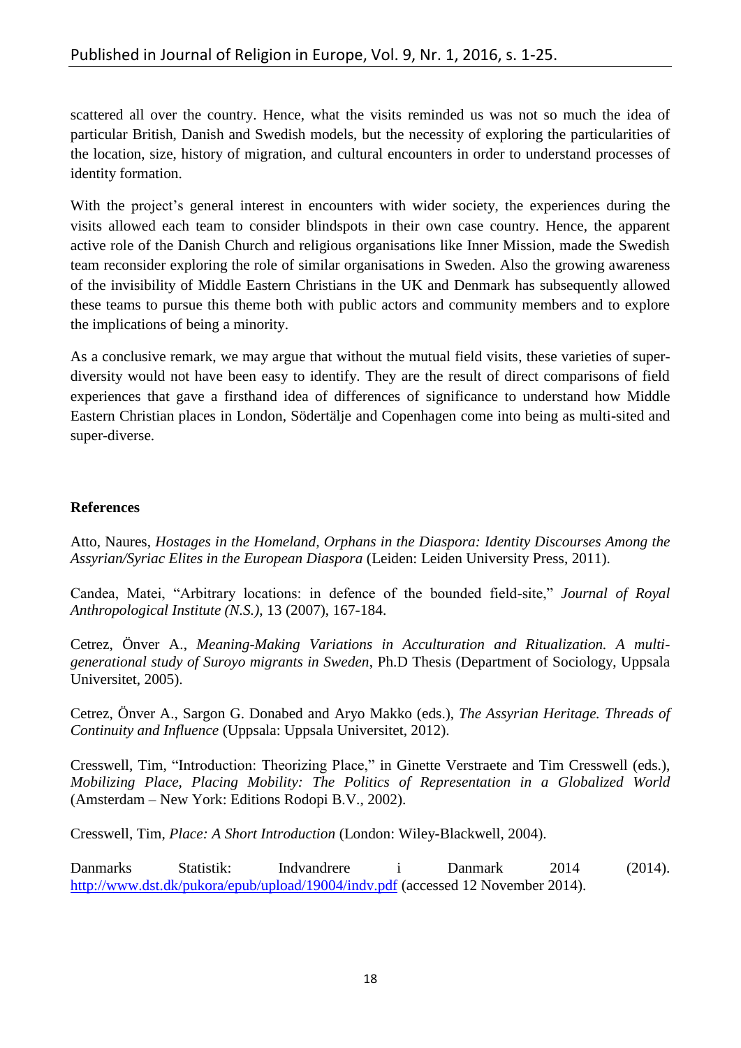scattered all over the country. Hence, what the visits reminded us was not so much the idea of particular British, Danish and Swedish models, but the necessity of exploring the particularities of the location, size, history of migration, and cultural encounters in order to understand processes of identity formation.

With the project's general interest in encounters with wider society, the experiences during the visits allowed each team to consider blindspots in their own case country. Hence, the apparent active role of the Danish Church and religious organisations like Inner Mission, made the Swedish team reconsider exploring the role of similar organisations in Sweden. Also the growing awareness of the invisibility of Middle Eastern Christians in the UK and Denmark has subsequently allowed these teams to pursue this theme both with public actors and community members and to explore the implications of being a minority.

As a conclusive remark, we may argue that without the mutual field visits, these varieties of superdiversity would not have been easy to identify. They are the result of direct comparisons of field experiences that gave a firsthand idea of differences of significance to understand how Middle Eastern Christian places in London, Södertälje and Copenhagen come into being as multi-sited and super-diverse.

# **References**

Atto, Naures, *Hostages in the Homeland, Orphans in the Diaspora: Identity Discourses Among the Assyrian/Syriac Elites in the European Diaspora* (Leiden: Leiden University Press, 2011).

Candea, Matei, "Arbitrary locations: in defence of the bounded field-site," *Journal of Royal Anthropological Institute (N.S.)*, 13 (2007), 167-184.

Cetrez, Önver A., *Meaning-Making Variations in Acculturation and Ritualization. A multigenerational study of Suroyo migrants in Sweden*, Ph.D Thesis (Department of Sociology, Uppsala Universitet, 2005).

Cetrez, Önver A., Sargon G. Donabed and Aryo Makko (eds.), *The Assyrian Heritage. Threads of Continuity and Influence* (Uppsala: Uppsala Universitet, 2012).

Cresswell, Tim, "Introduction: Theorizing Place," in Ginette Verstraete and Tim Cresswell (eds.), *Mobilizing Place, Placing Mobility: The Politics of Representation in a Globalized World* (Amsterdam – New York: Editions Rodopi B.V., 2002).

Cresswell, Tim, *Place: A Short Introduction* (London: Wiley-Blackwell, 2004).

Danmarks Statistik: Indvandrere i Danmark 2014 (2014). <http://www.dst.dk/pukora/epub/upload/19004/indv.pdf> (accessed 12 November 2014).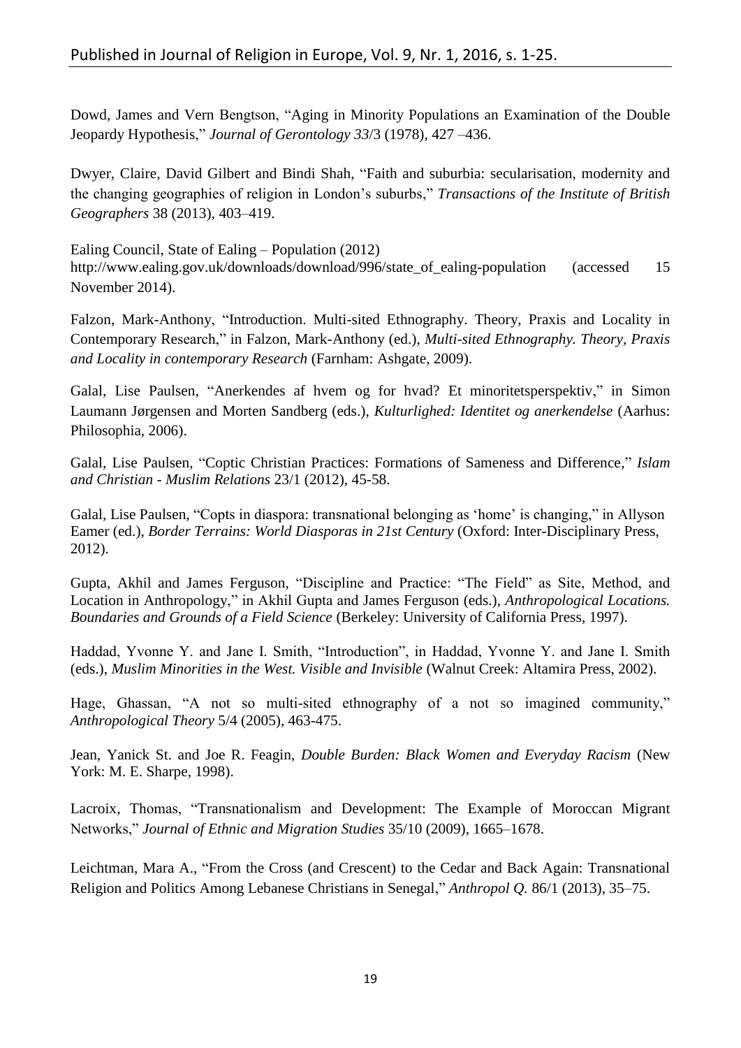Dowd, James and Vern Bengtson, "Aging in Minority Populations an Examination of the Double Jeopardy Hypothesis," *Journal of Gerontology 33*/3 (1978), 427 –436.

Dwyer, Claire, David Gilbert and Bindi Shah, "Faith and suburbia: secularisation, modernity and the changing geographies of religion in London's suburbs," *Transactions of the Institute of British Geographers* 38 (2013), 403–419.

Ealing Council, State of Ealing – Population (2012) http://www.ealing.gov.uk/downloads/download/996/state\_of\_ealing-population (accessed 15 November 2014).

Falzon, Mark-Anthony, "Introduction. Multi-sited Ethnography. Theory, Praxis and Locality in Contemporary Research," in Falzon, Mark-Anthony (ed.), *Multi-sited Ethnography. Theory, Praxis and Locality in contemporary Research* (Farnham: Ashgate, 2009).

Galal, Lise Paulsen, "Anerkendes af hvem og for hvad? Et minoritetsperspektiv," in Simon Laumann Jørgensen and Morten Sandberg (eds.), *Kulturlighed: Identitet og anerkendelse* (Aarhus: Philosophia, 2006).

Galal, Lise Paulsen, "Coptic Christian Practices: Formations of Sameness and Difference," *Islam and Christian - Muslim Relations* 23/1 (2012), 45-58.

Galal, Lise Paulsen, "Copts in diaspora: transnational belonging as 'home' is changing," in Allyson Eamer (ed.), *Border Terrains: World Diasporas in 21st Century* (Oxford: Inter-Disciplinary Press, 2012).

Gupta, Akhil and James Ferguson, "Discipline and Practice: "The Field" as Site, Method, and Location in Anthropology," in Akhil Gupta and James Ferguson (eds.), *Anthropological Locations. Boundaries and Grounds of a Field Science* (Berkeley: University of California Press, 1997).

Haddad, Yvonne Y. and Jane I. Smith, "Introduction", in Haddad, Yvonne Y. and Jane I. Smith (eds.), *Muslim Minorities in the West. Visible and Invisible* (Walnut Creek: Altamira Press, 2002).

Hage, Ghassan, "A not so multi-sited ethnography of a not so imagined community," *Anthropological Theory* 5/4 (2005), 463-475.

Jean, Yanick St. and Joe R. Feagin, *Double Burden: Black Women and Everyday Racism* (New York: M. E. Sharpe, 1998).

Lacroix, Thomas, "Transnationalism and Development: The Example of Moroccan Migrant Networks," *Journal of Ethnic and Migration Studies* 35/10 (2009), 1665–1678.

Leichtman, Mara A., "From the Cross (and Crescent) to the Cedar and Back Again: Transnational Religion and Politics Among Lebanese Christians in Senegal," *Anthropol Q.* 86/1 (2013), 35–75.